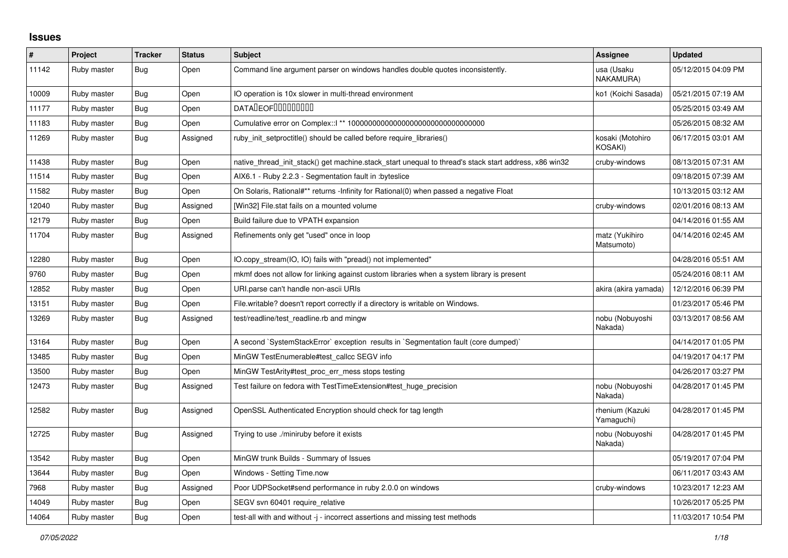## **Issues**

| #     | Project     | <b>Tracker</b> | <b>Status</b> | <b>Subject</b>                                                                                        | Assignee                      | <b>Updated</b>      |
|-------|-------------|----------------|---------------|-------------------------------------------------------------------------------------------------------|-------------------------------|---------------------|
| 11142 | Ruby master | Bug            | Open          | Command line argument parser on windows handles double quotes inconsistently.                         | usa (Usaku<br>NAKAMURA)       | 05/12/2015 04:09 PM |
| 10009 | Ruby master | Bug            | Open          | IO operation is 10x slower in multi-thread environment                                                | ko1 (Koichi Sasada)           | 05/21/2015 07:19 AM |
| 11177 | Ruby master | <b>Bug</b>     | Open          | <b>DATALEOFILILILILILILI</b>                                                                          |                               | 05/25/2015 03:49 AM |
| 11183 | Ruby master | <b>Bug</b>     | Open          |                                                                                                       |                               | 05/26/2015 08:32 AM |
| 11269 | Ruby master | Bug            | Assigned      | ruby_init_setproctitle() should be called before require_libraries()                                  | kosaki (Motohiro<br>KOSAKI)   | 06/17/2015 03:01 AM |
| 11438 | Ruby master | <b>Bug</b>     | Open          | native_thread_init_stack() get machine.stack_start unequal to thread's stack start address, x86 win32 | cruby-windows                 | 08/13/2015 07:31 AM |
| 11514 | Ruby master | <b>Bug</b>     | Open          | AIX6.1 - Ruby 2.2.3 - Segmentation fault in :byteslice                                                |                               | 09/18/2015 07:39 AM |
| 11582 | Ruby master | <b>Bug</b>     | Open          | On Solaris, Rational#** returns -Infinity for Rational(0) when passed a negative Float                |                               | 10/13/2015 03:12 AM |
| 12040 | Ruby master | Bug            | Assigned      | [Win32] File.stat fails on a mounted volume                                                           | cruby-windows                 | 02/01/2016 08:13 AM |
| 12179 | Ruby master | Bug            | Open          | Build failure due to VPATH expansion                                                                  |                               | 04/14/2016 01:55 AM |
| 11704 | Ruby master | Bug            | Assigned      | Refinements only get "used" once in loop                                                              | matz (Yukihiro<br>Matsumoto)  | 04/14/2016 02:45 AM |
| 12280 | Ruby master | Bug            | Open          | IO.copy stream(IO, IO) fails with "pread() not implemented"                                           |                               | 04/28/2016 05:51 AM |
| 9760  | Ruby master | <b>Bug</b>     | Open          | mkmf does not allow for linking against custom libraries when a system library is present             |                               | 05/24/2016 08:11 AM |
| 12852 | Ruby master | <b>Bug</b>     | Open          | URI parse can't handle non-ascii URIs                                                                 | akira (akira yamada)          | 12/12/2016 06:39 PM |
| 13151 | Ruby master | <b>Bug</b>     | Open          | File.writable? doesn't report correctly if a directory is writable on Windows.                        |                               | 01/23/2017 05:46 PM |
| 13269 | Ruby master | Bug            | Assigned      | test/readline/test readline.rb and mingw                                                              | nobu (Nobuyoshi<br>Nakada)    | 03/13/2017 08:56 AM |
| 13164 | Ruby master | Bug            | Open          | A second `SystemStackError` exception results in `Segmentation fault (core dumped)`                   |                               | 04/14/2017 01:05 PM |
| 13485 | Ruby master | Bug            | Open          | MinGW TestEnumerable#test_callcc SEGV info                                                            |                               | 04/19/2017 04:17 PM |
| 13500 | Ruby master | <b>Bug</b>     | Open          | MinGW TestArity#test_proc_err_mess stops testing                                                      |                               | 04/26/2017 03:27 PM |
| 12473 | Ruby master | <b>Bug</b>     | Assigned      | Test failure on fedora with TestTimeExtension#test_huge_precision                                     | nobu (Nobuyoshi<br>Nakada)    | 04/28/2017 01:45 PM |
| 12582 | Ruby master | Bug            | Assigned      | OpenSSL Authenticated Encryption should check for tag length                                          | rhenium (Kazuki<br>Yamaguchi) | 04/28/2017 01:45 PM |
| 12725 | Ruby master | Bug            | Assigned      | Trying to use ./miniruby before it exists                                                             | nobu (Nobuyoshi<br>Nakada)    | 04/28/2017 01:45 PM |
| 13542 | Ruby master | <b>Bug</b>     | Open          | MinGW trunk Builds - Summary of Issues                                                                |                               | 05/19/2017 07:04 PM |
| 13644 | Ruby master | <b>Bug</b>     | Open          | Windows - Setting Time.now                                                                            |                               | 06/11/2017 03:43 AM |
| 7968  | Ruby master | <b>Bug</b>     | Assigned      | Poor UDPSocket#send performance in ruby 2.0.0 on windows                                              | cruby-windows                 | 10/23/2017 12:23 AM |
| 14049 | Ruby master | <b>Bug</b>     | Open          | SEGV svn 60401 require relative                                                                       |                               | 10/26/2017 05:25 PM |
| 14064 | Ruby master | <b>Bug</b>     | Open          | test-all with and without -j - incorrect assertions and missing test methods                          |                               | 11/03/2017 10:54 PM |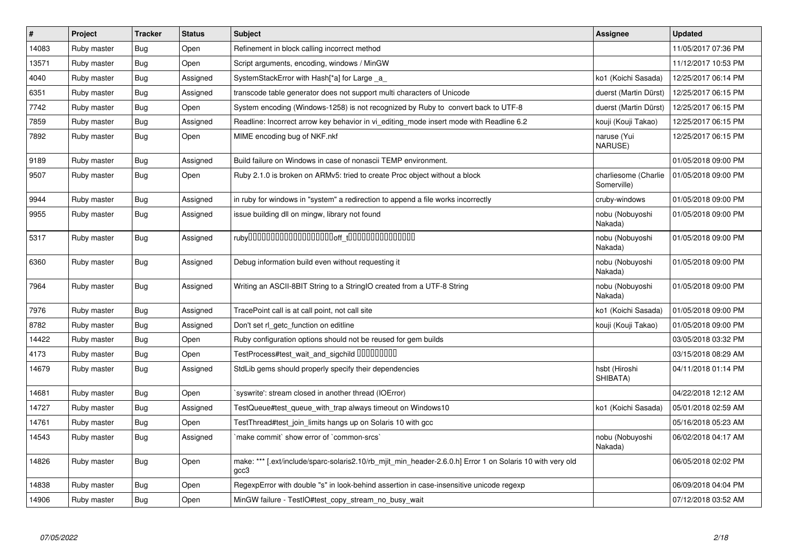| #     | Project     | <b>Tracker</b> | <b>Status</b> | <b>Subject</b>                                                                                                    | <b>Assignee</b>                     | <b>Updated</b>      |
|-------|-------------|----------------|---------------|-------------------------------------------------------------------------------------------------------------------|-------------------------------------|---------------------|
| 14083 | Ruby master | Bug            | Open          | Refinement in block calling incorrect method                                                                      |                                     | 11/05/2017 07:36 PM |
| 13571 | Ruby master | Bug            | Open          | Script arguments, encoding, windows / MinGW                                                                       |                                     | 11/12/2017 10:53 PM |
| 4040  | Ruby master | Bug            | Assigned      | SystemStackError with Hash[*a] for Large _a_                                                                      | ko1 (Koichi Sasada)                 | 12/25/2017 06:14 PM |
| 6351  | Ruby master | Bug            | Assigned      | transcode table generator does not support multi characters of Unicode                                            | duerst (Martin Dürst)               | 12/25/2017 06:15 PM |
| 7742  | Ruby master | Bug            | Open          | System encoding (Windows-1258) is not recognized by Ruby to convert back to UTF-8                                 | duerst (Martin Dürst)               | 12/25/2017 06:15 PM |
| 7859  | Ruby master | Bug            | Assigned      | Readline: Incorrect arrow key behavior in vi editing mode insert mode with Readline 6.2                           | kouji (Kouji Takao)                 | 12/25/2017 06:15 PM |
| 7892  | Ruby master | Bug            | Open          | MIME encoding bug of NKF.nkf                                                                                      | naruse (Yui<br>NARUSE)              | 12/25/2017 06:15 PM |
| 9189  | Ruby master | Bug            | Assigned      | Build failure on Windows in case of nonascii TEMP environment.                                                    |                                     | 01/05/2018 09:00 PM |
| 9507  | Ruby master | <b>Bug</b>     | Open          | Ruby 2.1.0 is broken on ARMv5: tried to create Proc object without a block                                        | charliesome (Charlie<br>Somerville) | 01/05/2018 09:00 PM |
| 9944  | Ruby master | Bug            | Assigned      | in ruby for windows in "system" a redirection to append a file works incorrectly                                  | cruby-windows                       | 01/05/2018 09:00 PM |
| 9955  | Ruby master | Bug            | Assigned      | issue building dll on mingw, library not found                                                                    | nobu (Nobuyoshi<br>Nakada)          | 01/05/2018 09:00 PM |
| 5317  | Ruby master | Bug            | Assigned      |                                                                                                                   | nobu (Nobuyoshi<br>Nakada)          | 01/05/2018 09:00 PM |
| 6360  | Ruby master | Bug            | Assigned      | Debug information build even without requesting it                                                                | nobu (Nobuyoshi<br>Nakada)          | 01/05/2018 09:00 PM |
| 7964  | Ruby master | Bug            | Assigned      | Writing an ASCII-8BIT String to a StringIO created from a UTF-8 String                                            | nobu (Nobuyoshi<br>Nakada)          | 01/05/2018 09:00 PM |
| 7976  | Ruby master | Bug            | Assigned      | TracePoint call is at call point, not call site                                                                   | ko1 (Koichi Sasada)                 | 01/05/2018 09:00 PM |
| 8782  | Ruby master | Bug            | Assigned      | Don't set rl getc function on editline                                                                            | kouji (Kouji Takao)                 | 01/05/2018 09:00 PM |
| 14422 | Ruby master | Bug            | Open          | Ruby configuration options should not be reused for gem builds                                                    |                                     | 03/05/2018 03:32 PM |
| 4173  | Ruby master | <b>Bug</b>     | Open          | TestProcess#test_wait_and_sigchild DDDDDDDD                                                                       |                                     | 03/15/2018 08:29 AM |
| 14679 | Ruby master | Bug            | Assigned      | StdLib gems should properly specify their dependencies                                                            | hsbt (Hiroshi<br>SHIBATA)           | 04/11/2018 01:14 PM |
| 14681 | Ruby master | Bug            | Open          | syswrite': stream closed in another thread (IOError)                                                              |                                     | 04/22/2018 12:12 AM |
| 14727 | Ruby master | Bug            | Assigned      | TestQueue#test queue with trap always timeout on Windows10                                                        | ko1 (Koichi Sasada)                 | 05/01/2018 02:59 AM |
| 14761 | Ruby master | <b>Bug</b>     | Open          | TestThread#test join limits hangs up on Solaris 10 with gcc                                                       |                                     | 05/16/2018 05:23 AM |
| 14543 | Ruby master | Bug            | Assigned      | 'make commit' show error of 'common-srcs'                                                                         | nobu (Nobuyoshi<br>Nakada)          | 06/02/2018 04:17 AM |
| 14826 | Ruby master | Bug            | Open          | make: *** [.ext/include/sparc-solaris2.10/rb_mjit_min_header-2.6.0.h] Error 1 on Solaris 10 with very old<br>gcc3 |                                     | 06/05/2018 02:02 PM |
| 14838 | Ruby master | <b>Bug</b>     | Open          | RegexpError with double "s" in look-behind assertion in case-insensitive unicode regexp                           |                                     | 06/09/2018 04:04 PM |
| 14906 | Ruby master | <b>Bug</b>     | Open          | MinGW failure - TestIO#test copy stream no busy wait                                                              |                                     | 07/12/2018 03:52 AM |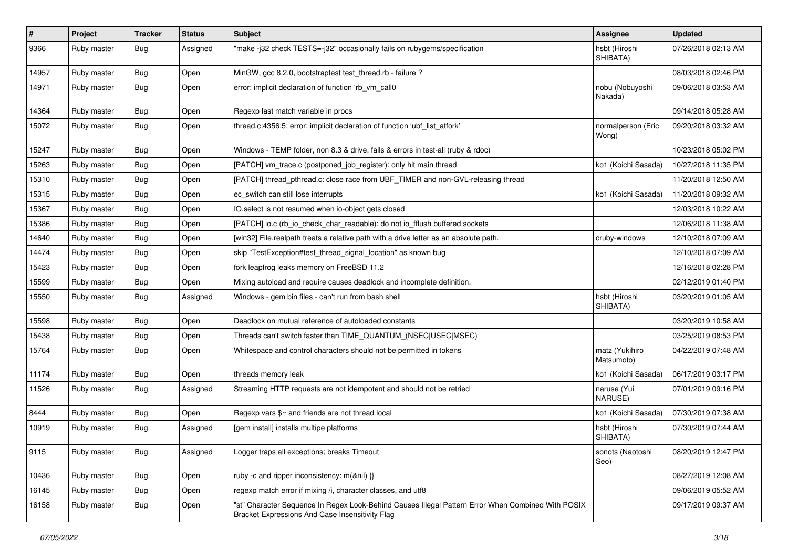| $\vert$ # | Project     | <b>Tracker</b> | <b>Status</b> | Subject                                                                                                                                               | <b>Assignee</b>              | <b>Updated</b>      |
|-----------|-------------|----------------|---------------|-------------------------------------------------------------------------------------------------------------------------------------------------------|------------------------------|---------------------|
| 9366      | Ruby master | Bug            | Assigned      | "make -j32 check TESTS=-j32" occasionally fails on rubygems/specification                                                                             | hsbt (Hiroshi<br>SHIBATA)    | 07/26/2018 02:13 AM |
| 14957     | Ruby master | Bug            | Open          | MinGW, gcc 8.2.0, bootstraptest test_thread.rb - failure ?                                                                                            |                              | 08/03/2018 02:46 PM |
| 14971     | Ruby master | <b>Bug</b>     | Open          | error: implicit declaration of function 'rb_vm_call0                                                                                                  | nobu (Nobuyoshi<br>Nakada)   | 09/06/2018 03:53 AM |
| 14364     | Ruby master | Bug            | Open          | Regexp last match variable in procs                                                                                                                   |                              | 09/14/2018 05:28 AM |
| 15072     | Ruby master | Bug            | Open          | thread.c:4356:5: error: implicit declaration of function 'ubf_list_atfork'                                                                            | normalperson (Eric<br>Wong)  | 09/20/2018 03:32 AM |
| 15247     | Ruby master | Bug            | Open          | Windows - TEMP folder, non 8.3 & drive, fails & errors in test-all (ruby & rdoc)                                                                      |                              | 10/23/2018 05:02 PM |
| 15263     | Ruby master | <b>Bug</b>     | Open          | [PATCH] vm_trace.c (postponed_job_register): only hit main thread                                                                                     | ko1 (Koichi Sasada)          | 10/27/2018 11:35 PM |
| 15310     | Ruby master | Bug            | Open          | [PATCH] thread_pthread.c: close race from UBF_TIMER and non-GVL-releasing thread                                                                      |                              | 11/20/2018 12:50 AM |
| 15315     | Ruby master | <b>Bug</b>     | Open          | ec_switch can still lose interrupts                                                                                                                   | ko1 (Koichi Sasada)          | 11/20/2018 09:32 AM |
| 15367     | Ruby master | Bug            | Open          | IO.select is not resumed when io-object gets closed                                                                                                   |                              | 12/03/2018 10:22 AM |
| 15386     | Ruby master | Bug            | Open          | [PATCH] io.c (rb_io_check_char_readable): do not io_fflush buffered sockets                                                                           |                              | 12/06/2018 11:38 AM |
| 14640     | Ruby master | <b>Bug</b>     | Open          | [win32] File.realpath treats a relative path with a drive letter as an absolute path.                                                                 | cruby-windows                | 12/10/2018 07:09 AM |
| 14474     | Ruby master | <b>Bug</b>     | Open          | skip "TestException#test_thread_signal_location" as known bug                                                                                         |                              | 12/10/2018 07:09 AM |
| 15423     | Ruby master | <b>Bug</b>     | Open          | fork leapfrog leaks memory on FreeBSD 11.2                                                                                                            |                              | 12/16/2018 02:28 PM |
| 15599     | Ruby master | Bug            | Open          | Mixing autoload and require causes deadlock and incomplete definition.                                                                                |                              | 02/12/2019 01:40 PM |
| 15550     | Ruby master | Bug            | Assigned      | Windows - gem bin files - can't run from bash shell                                                                                                   | hsbt (Hiroshi<br>SHIBATA)    | 03/20/2019 01:05 AM |
| 15598     | Ruby master | <b>Bug</b>     | Open          | Deadlock on mutual reference of autoloaded constants                                                                                                  |                              | 03/20/2019 10:58 AM |
| 15438     | Ruby master | Bug            | Open          | Threads can't switch faster than TIME_QUANTUM_(NSEC USEC MSEC)                                                                                        |                              | 03/25/2019 08:53 PM |
| 15764     | Ruby master | Bug            | Open          | Whitespace and control characters should not be permitted in tokens                                                                                   | matz (Yukihiro<br>Matsumoto) | 04/22/2019 07:48 AM |
| 11174     | Ruby master | Bug            | Open          | threads memory leak                                                                                                                                   | ko1 (Koichi Sasada)          | 06/17/2019 03:17 PM |
| 11526     | Ruby master | Bug            | Assigned      | Streaming HTTP requests are not idempotent and should not be retried                                                                                  | naruse (Yui<br>NARUSE)       | 07/01/2019 09:16 PM |
| 8444      | Ruby master | <b>Bug</b>     | Open          | Regexp vars \$~ and friends are not thread local                                                                                                      | ko1 (Koichi Sasada)          | 07/30/2019 07:38 AM |
| 10919     | Ruby master | <b>Bug</b>     | Assigned      | [gem install] installs multipe platforms                                                                                                              | hsbt (Hiroshi<br>SHIBATA)    | 07/30/2019 07:44 AM |
| 9115      | Ruby master | <b>Bug</b>     | Assigned      | Logger traps all exceptions; breaks Timeout                                                                                                           | sonots (Naotoshi<br>Seo)     | 08/20/2019 12:47 PM |
| 10436     | Ruby master | Bug            | Open          | ruby -c and ripper inconsistency: m(&nil) {}                                                                                                          |                              | 08/27/2019 12:08 AM |
| 16145     | Ruby master | Bug            | Open          | regexp match error if mixing /i, character classes, and utf8                                                                                          |                              | 09/06/2019 05:52 AM |
| 16158     | Ruby master | <b>Bug</b>     | Open          | "st" Character Sequence In Regex Look-Behind Causes Illegal Pattern Error When Combined With POSIX<br>Bracket Expressions And Case Insensitivity Flag |                              | 09/17/2019 09:37 AM |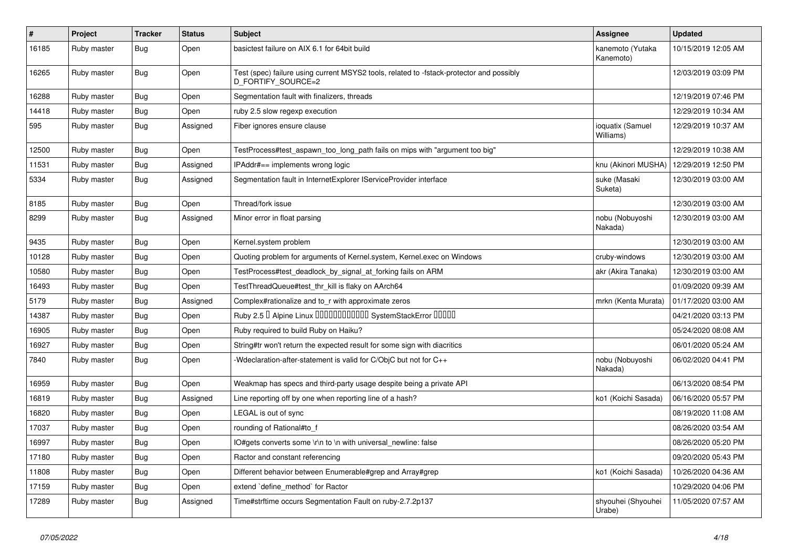| $\sharp$ | Project     | Tracker    | <b>Status</b> | Subject                                                                                                        | <b>Assignee</b>               | <b>Updated</b>      |
|----------|-------------|------------|---------------|----------------------------------------------------------------------------------------------------------------|-------------------------------|---------------------|
| 16185    | Ruby master | Bug        | Open          | basictest failure on AIX 6.1 for 64bit build                                                                   | kanemoto (Yutaka<br>Kanemoto) | 10/15/2019 12:05 AM |
| 16265    | Ruby master | Bug        | Open          | Test (spec) failure using current MSYS2 tools, related to -fstack-protector and possibly<br>D FORTIFY SOURCE=2 |                               | 12/03/2019 03:09 PM |
| 16288    | Ruby master | <b>Bug</b> | Open          | Segmentation fault with finalizers, threads                                                                    |                               | 12/19/2019 07:46 PM |
| 14418    | Ruby master | <b>Bug</b> | Open          | ruby 2.5 slow regexp execution                                                                                 |                               | 12/29/2019 10:34 AM |
| 595      | Ruby master | <b>Bug</b> | Assigned      | Fiber ignores ensure clause                                                                                    | ioquatix (Samuel<br>Williams) | 12/29/2019 10:37 AM |
| 12500    | Ruby master | <b>Bug</b> | Open          | TestProcess#test_aspawn_too_long_path fails on mips with "argument too big"                                    |                               | 12/29/2019 10:38 AM |
| 11531    | Ruby master | Bug        | Assigned      | IPAddr#== implements wrong logic                                                                               | knu (Akinori MUSHA)           | 12/29/2019 12:50 PM |
| 5334     | Ruby master | Bug        | Assigned      | Segmentation fault in InternetExplorer IServiceProvider interface                                              | suke (Masaki<br>Suketa)       | 12/30/2019 03:00 AM |
| 8185     | Ruby master | Bug        | Open          | Thread/fork issue                                                                                              |                               | 12/30/2019 03:00 AM |
| 8299     | Ruby master | <b>Bug</b> | Assigned      | Minor error in float parsing                                                                                   | nobu (Nobuyoshi<br>Nakada)    | 12/30/2019 03:00 AM |
| 9435     | Ruby master | <b>Bug</b> | Open          | Kernel.system problem                                                                                          |                               | 12/30/2019 03:00 AM |
| 10128    | Ruby master | <b>Bug</b> | Open          | Quoting problem for arguments of Kernel.system, Kernel.exec on Windows                                         | cruby-windows                 | 12/30/2019 03:00 AM |
| 10580    | Ruby master | <b>Bug</b> | Open          | TestProcess#test_deadlock_by_signal_at_forking fails on ARM                                                    | akr (Akira Tanaka)            | 12/30/2019 03:00 AM |
| 16493    | Ruby master | <b>Bug</b> | Open          | TestThreadQueue#test_thr_kill is flaky on AArch64                                                              |                               | 01/09/2020 09:39 AM |
| 5179     | Ruby master | <b>Bug</b> | Assigned      | Complex#rationalize and to_r with approximate zeros                                                            | mrkn (Kenta Murata)           | 01/17/2020 03:00 AM |
| 14387    | Ruby master | <b>Bug</b> | Open          | Ruby 2.5 <sup>D</sup> Alpine Linux <b>DDDDDDDDDDD</b> SystemStackError <b>DDDD</b>                             |                               | 04/21/2020 03:13 PM |
| 16905    | Ruby master | Bug        | Open          | Ruby required to build Ruby on Haiku?                                                                          |                               | 05/24/2020 08:08 AM |
| 16927    | Ruby master | <b>Bug</b> | Open          | String#tr won't return the expected result for some sign with diacritics                                       |                               | 06/01/2020 05:24 AM |
| 7840     | Ruby master | <b>Bug</b> | Open          | -Wdeclaration-after-statement is valid for C/ObjC but not for C++                                              | nobu (Nobuyoshi<br>Nakada)    | 06/02/2020 04:41 PM |
| 16959    | Ruby master | <b>Bug</b> | Open          | Weakmap has specs and third-party usage despite being a private API                                            |                               | 06/13/2020 08:54 PM |
| 16819    | Ruby master | Bug        | Assigned      | Line reporting off by one when reporting line of a hash?                                                       | ko1 (Koichi Sasada)           | 06/16/2020 05:57 PM |
| 16820    | Ruby master | <b>Bug</b> | Open          | LEGAL is out of sync                                                                                           |                               | 08/19/2020 11:08 AM |
| 17037    | Ruby master | <b>Bug</b> | Open          | rounding of Rational#to_f                                                                                      |                               | 08/26/2020 03:54 AM |
| 16997    | Ruby master | Bug        | Open          | IO#gets converts some \r\n to \n with universal newline: false                                                 |                               | 08/26/2020 05:20 PM |
| 17180    | Ruby master | <b>Bug</b> | Open          | Ractor and constant referencing                                                                                |                               | 09/20/2020 05:43 PM |
| 11808    | Ruby master | Bug        | Open          | Different behavior between Enumerable#grep and Array#grep                                                      | ko1 (Koichi Sasada)           | 10/26/2020 04:36 AM |
| 17159    | Ruby master | Bug        | Open          | extend 'define_method' for Ractor                                                                              |                               | 10/29/2020 04:06 PM |
| 17289    | Ruby master | Bug        | Assigned      | Time#strftime occurs Segmentation Fault on ruby-2.7.2p137                                                      | shyouhei (Shyouhei<br>Urabe)  | 11/05/2020 07:57 AM |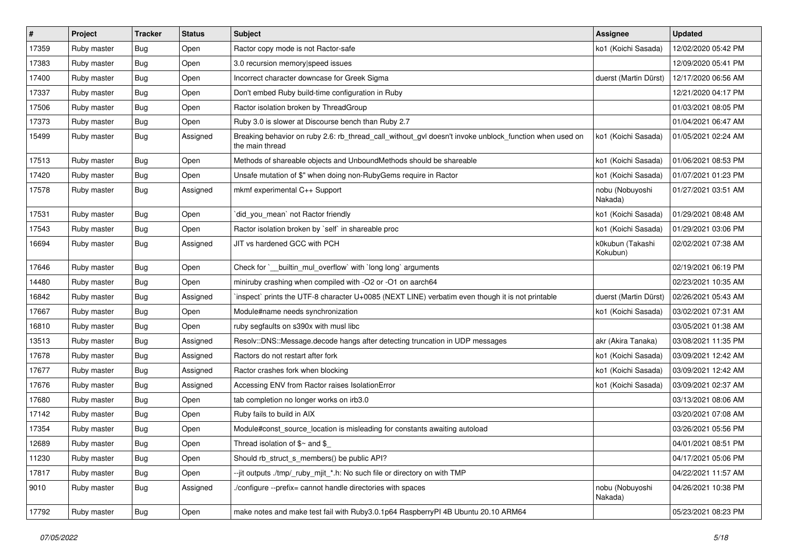| $\vert$ # | Project     | <b>Tracker</b> | <b>Status</b> | Subject                                                                                                                   | <b>Assignee</b>              | <b>Updated</b>      |
|-----------|-------------|----------------|---------------|---------------------------------------------------------------------------------------------------------------------------|------------------------------|---------------------|
| 17359     | Ruby master | Bug            | Open          | Ractor copy mode is not Ractor-safe                                                                                       | ko1 (Koichi Sasada)          | 12/02/2020 05:42 PM |
| 17383     | Ruby master | <b>Bug</b>     | Open          | 3.0 recursion memory speed issues                                                                                         |                              | 12/09/2020 05:41 PM |
| 17400     | Ruby master | <b>Bug</b>     | Open          | Incorrect character downcase for Greek Sigma                                                                              | duerst (Martin Dürst)        | 12/17/2020 06:56 AM |
| 17337     | Ruby master | <b>Bug</b>     | Open          | Don't embed Ruby build-time configuration in Ruby                                                                         |                              | 12/21/2020 04:17 PM |
| 17506     | Ruby master | <b>Bug</b>     | Open          | Ractor isolation broken by ThreadGroup                                                                                    |                              | 01/03/2021 08:05 PM |
| 17373     | Ruby master | <b>Bug</b>     | Open          | Ruby 3.0 is slower at Discourse bench than Ruby 2.7                                                                       |                              | 01/04/2021 06:47 AM |
| 15499     | Ruby master | <b>Bug</b>     | Assigned      | Breaking behavior on ruby 2.6: rb_thread_call_without_gvl doesn't invoke unblock_function when used on<br>the main thread | ko1 (Koichi Sasada)          | 01/05/2021 02:24 AM |
| 17513     | Ruby master | <b>Bug</b>     | Open          | Methods of shareable objects and UnboundMethods should be shareable                                                       | ko1 (Koichi Sasada)          | 01/06/2021 08:53 PM |
| 17420     | Ruby master | <b>Bug</b>     | Open          | Unsafe mutation of \$" when doing non-RubyGems require in Ractor                                                          | ko1 (Koichi Sasada)          | 01/07/2021 01:23 PM |
| 17578     | Ruby master | Bug            | Assigned      | mkmf experimental C++ Support                                                                                             | nobu (Nobuyoshi<br>Nakada)   | 01/27/2021 03:51 AM |
| 17531     | Ruby master | Bug            | Open          | `did_you_mean` not Ractor friendly                                                                                        | ko1 (Koichi Sasada)          | 01/29/2021 08:48 AM |
| 17543     | Ruby master | Bug            | Open          | Ractor isolation broken by 'self' in shareable proc                                                                       | ko1 (Koichi Sasada)          | 01/29/2021 03:06 PM |
| 16694     | Ruby master | <b>Bug</b>     | Assigned      | JIT vs hardened GCC with PCH                                                                                              | k0kubun (Takashi<br>Kokubun) | 02/02/2021 07:38 AM |
| 17646     | Ruby master | <b>Bug</b>     | Open          | Check for `__builtin_mul_overflow` with `long long` arguments                                                             |                              | 02/19/2021 06:19 PM |
| 14480     | Ruby master | <b>Bug</b>     | Open          | miniruby crashing when compiled with -O2 or -O1 on aarch64                                                                |                              | 02/23/2021 10:35 AM |
| 16842     | Ruby master | <b>Bug</b>     | Assigned      | inspect` prints the UTF-8 character U+0085 (NEXT LINE) verbatim even though it is not printable                           | duerst (Martin Dürst)        | 02/26/2021 05:43 AM |
| 17667     | Ruby master | Bug            | Open          | Module#name needs synchronization                                                                                         | ko1 (Koichi Sasada)          | 03/02/2021 07:31 AM |
| 16810     | Ruby master | <b>Bug</b>     | Open          | ruby segfaults on s390x with musl libc                                                                                    |                              | 03/05/2021 01:38 AM |
| 13513     | Ruby master | Bug            | Assigned      | Resolv::DNS::Message.decode hangs after detecting truncation in UDP messages                                              | akr (Akira Tanaka)           | 03/08/2021 11:35 PM |
| 17678     | Ruby master | <b>Bug</b>     | Assigned      | Ractors do not restart after fork                                                                                         | ko1 (Koichi Sasada)          | 03/09/2021 12:42 AM |
| 17677     | Ruby master | <b>Bug</b>     | Assigned      | Ractor crashes fork when blocking                                                                                         | ko1 (Koichi Sasada)          | 03/09/2021 12:42 AM |
| 17676     | Ruby master | <b>Bug</b>     | Assigned      | Accessing ENV from Ractor raises IsolationError                                                                           | ko1 (Koichi Sasada)          | 03/09/2021 02:37 AM |
| 17680     | Ruby master | Bug            | Open          | tab completion no longer works on irb3.0                                                                                  |                              | 03/13/2021 08:06 AM |
| 17142     | Ruby master | <b>Bug</b>     | Open          | Ruby fails to build in AIX                                                                                                |                              | 03/20/2021 07:08 AM |
| 17354     | Ruby master | <b>Bug</b>     | Open          | Module#const_source_location is misleading for constants awaiting autoload                                                |                              | 03/26/2021 05:56 PM |
| 12689     | Ruby master | Bug            | Open          | Thread isolation of $\gamma$ and $\gamma$                                                                                 |                              | 04/01/2021 08:51 PM |
| 11230     | Ruby master | Bug            | Open          | Should rb_struct_s_members() be public API?                                                                               |                              | 04/17/2021 05:06 PM |
| 17817     | Ruby master | Bug            | Open          | --jit outputs ./tmp/_ruby_mjit_*.h: No such file or directory on with TMP                                                 |                              | 04/22/2021 11:57 AM |
| 9010      | Ruby master | Bug            | Assigned      | ./configure --prefix= cannot handle directories with spaces                                                               | nobu (Nobuyoshi<br>Nakada)   | 04/26/2021 10:38 PM |
| 17792     | Ruby master | <b>Bug</b>     | Open          | make notes and make test fail with Ruby3.0.1p64 RaspberryPI 4B Ubuntu 20.10 ARM64                                         |                              | 05/23/2021 08:23 PM |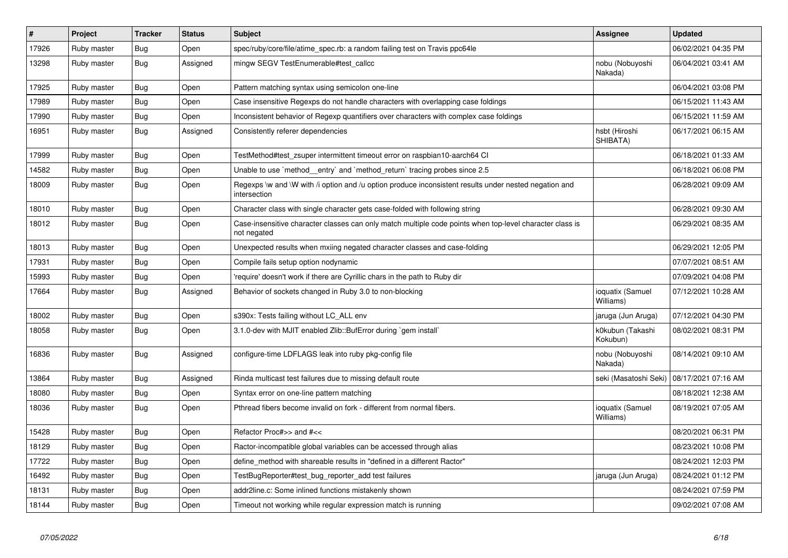| #     | <b>Project</b> | <b>Tracker</b> | <b>Status</b> | <b>Subject</b>                                                                                                          | <b>Assignee</b>               | <b>Updated</b>      |
|-------|----------------|----------------|---------------|-------------------------------------------------------------------------------------------------------------------------|-------------------------------|---------------------|
| 17926 | Ruby master    | Bug            | Open          | spec/ruby/core/file/atime spec.rb: a random failing test on Travis ppc64le                                              |                               | 06/02/2021 04:35 PM |
| 13298 | Ruby master    | Bug            | Assigned      | mingw SEGV TestEnumerable#test_callcc                                                                                   | nobu (Nobuyoshi<br>Nakada)    | 06/04/2021 03:41 AM |
| 17925 | Ruby master    | Bug            | Open          | Pattern matching syntax using semicolon one-line                                                                        |                               | 06/04/2021 03:08 PM |
| 17989 | Ruby master    | Bug            | Open          | Case insensitive Regexps do not handle characters with overlapping case foldings                                        |                               | 06/15/2021 11:43 AM |
| 17990 | Ruby master    | Bug            | Open          | Inconsistent behavior of Regexp quantifiers over characters with complex case foldings                                  |                               | 06/15/2021 11:59 AM |
| 16951 | Ruby master    | Bug            | Assigned      | Consistently referer dependencies                                                                                       | hsbt (Hiroshi<br>SHIBATA)     | 06/17/2021 06:15 AM |
| 17999 | Ruby master    | Bug            | Open          | TestMethod#test_zsuper intermittent timeout error on raspbian10-aarch64 CI                                              |                               | 06/18/2021 01:33 AM |
| 14582 | Ruby master    | Bug            | Open          | Unable to use `method entry` and `method return` tracing probes since 2.5                                               |                               | 06/18/2021 06:08 PM |
| 18009 | Ruby master    | <b>Bug</b>     | Open          | Regexps \w and \W with /i option and /u option produce inconsistent results under nested negation and<br>intersection   |                               | 06/28/2021 09:09 AM |
| 18010 | Ruby master    | Bug            | Open          | Character class with single character gets case-folded with following string                                            |                               | 06/28/2021 09:30 AM |
| 18012 | Ruby master    | <b>Bug</b>     | Open          | Case-insensitive character classes can only match multiple code points when top-level character class is<br>not negated |                               | 06/29/2021 08:35 AM |
| 18013 | Ruby master    | <b>Bug</b>     | Open          | Unexpected results when mxiing negated character classes and case-folding                                               |                               | 06/29/2021 12:05 PM |
| 17931 | Ruby master    | <b>Bug</b>     | Open          | Compile fails setup option nodynamic                                                                                    |                               | 07/07/2021 08:51 AM |
| 15993 | Ruby master    | Bug            | Open          | 'require' doesn't work if there are Cyrillic chars in the path to Ruby dir                                              |                               | 07/09/2021 04:08 PM |
| 17664 | Ruby master    | Bug            | Assigned      | Behavior of sockets changed in Ruby 3.0 to non-blocking                                                                 | ioquatix (Samuel<br>Williams) | 07/12/2021 10:28 AM |
| 18002 | Ruby master    | <b>Bug</b>     | Open          | s390x: Tests failing without LC_ALL env                                                                                 | jaruga (Jun Aruga)            | 07/12/2021 04:30 PM |
| 18058 | Ruby master    | Bug            | Open          | 3.1.0-dev with MJIT enabled Zlib::BufError during `gem install`                                                         | k0kubun (Takashi<br>Kokubun)  | 08/02/2021 08:31 PM |
| 16836 | Ruby master    | Bug            | Assigned      | configure-time LDFLAGS leak into ruby pkg-config file                                                                   | nobu (Nobuyoshi<br>Nakada)    | 08/14/2021 09:10 AM |
| 13864 | Ruby master    | Bug            | Assigned      | Rinda multicast test failures due to missing default route                                                              | seki (Masatoshi Seki)         | 08/17/2021 07:16 AM |
| 18080 | Ruby master    | Bug            | Open          | Syntax error on one-line pattern matching                                                                               |                               | 08/18/2021 12:38 AM |
| 18036 | Ruby master    | Bug            | Open          | Pthread fibers become invalid on fork - different from normal fibers.                                                   | ioquatix (Samuel<br>Williams) | 08/19/2021 07:05 AM |
| 15428 | Ruby master    | Bug            | Open          | Refactor Proc#>> and #<<                                                                                                |                               | 08/20/2021 06:31 PM |
| 18129 | Ruby master    | Bug            | Open          | Ractor-incompatible global variables can be accessed through alias                                                      |                               | 08/23/2021 10:08 PM |
| 17722 | Ruby master    | Bug            | Open          | define method with shareable results in "defined in a different Ractor"                                                 |                               | 08/24/2021 12:03 PM |
| 16492 | Ruby master    | <b>Bug</b>     | Open          | TestBugReporter#test_bug_reporter_add test failures                                                                     | jaruga (Jun Aruga)            | 08/24/2021 01:12 PM |
| 18131 | Ruby master    | Bug            | Open          | addr2line.c: Some inlined functions mistakenly shown                                                                    |                               | 08/24/2021 07:59 PM |
| 18144 | Ruby master    | Bug            | Open          | Timeout not working while regular expression match is running                                                           |                               | 09/02/2021 07:08 AM |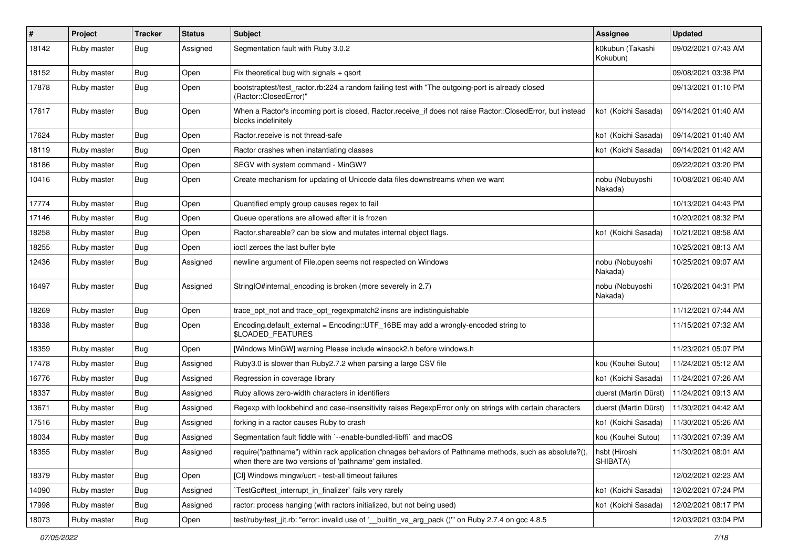| #     | Project     | Tracker    | <b>Status</b> | Subject                                                                                                                                                             | <b>Assignee</b>              | <b>Updated</b>      |
|-------|-------------|------------|---------------|---------------------------------------------------------------------------------------------------------------------------------------------------------------------|------------------------------|---------------------|
| 18142 | Ruby master | Bug        | Assigned      | Segmentation fault with Ruby 3.0.2                                                                                                                                  | k0kubun (Takashi<br>Kokubun) | 09/02/2021 07:43 AM |
| 18152 | Ruby master | <b>Bug</b> | Open          | Fix theoretical bug with signals $+$ qsort                                                                                                                          |                              | 09/08/2021 03:38 PM |
| 17878 | Ruby master | <b>Bug</b> | Open          | bootstraptest/test_ractor.rb:224 a random failing test with "The outgoing-port is already closed<br>(Ractor::ClosedError)"                                          |                              | 09/13/2021 01:10 PM |
| 17617 | Ruby master | <b>Bug</b> | Open          | When a Ractor's incoming port is closed, Ractor.receive_if does not raise Ractor::ClosedError, but instead<br>blocks indefinitely                                   | ko1 (Koichi Sasada)          | 09/14/2021 01:40 AM |
| 17624 | Ruby master | <b>Bug</b> | Open          | Ractor, receive is not thread-safe                                                                                                                                  | ko1 (Koichi Sasada)          | 09/14/2021 01:40 AM |
| 18119 | Ruby master | <b>Bug</b> | Open          | Ractor crashes when instantiating classes                                                                                                                           | ko1 (Koichi Sasada)          | 09/14/2021 01:42 AM |
| 18186 | Ruby master | <b>Bug</b> | Open          | SEGV with system command - MinGW?                                                                                                                                   |                              | 09/22/2021 03:20 PM |
| 10416 | Ruby master | <b>Bug</b> | Open          | Create mechanism for updating of Unicode data files downstreams when we want                                                                                        | nobu (Nobuyoshi<br>Nakada)   | 10/08/2021 06:40 AM |
| 17774 | Ruby master | <b>Bug</b> | Open          | Quantified empty group causes regex to fail                                                                                                                         |                              | 10/13/2021 04:43 PM |
| 17146 | Ruby master | <b>Bug</b> | Open          | Queue operations are allowed after it is frozen                                                                                                                     |                              | 10/20/2021 08:32 PM |
| 18258 | Ruby master | <b>Bug</b> | Open          | Ractor.shareable? can be slow and mutates internal object flags.                                                                                                    | ko1 (Koichi Sasada)          | 10/21/2021 08:58 AM |
| 18255 | Ruby master | <b>Bug</b> | Open          | ioctl zeroes the last buffer byte                                                                                                                                   |                              | 10/25/2021 08:13 AM |
| 12436 | Ruby master | <b>Bug</b> | Assigned      | newline argument of File.open seems not respected on Windows                                                                                                        | nobu (Nobuyoshi<br>Nakada)   | 10/25/2021 09:07 AM |
| 16497 | Ruby master | Bug        | Assigned      | StringIO#internal_encoding is broken (more severely in 2.7)                                                                                                         | nobu (Nobuyoshi<br>Nakada)   | 10/26/2021 04:31 PM |
| 18269 | Ruby master | Bug        | Open          | trace_opt_not and trace_opt_regexpmatch2 insns are indistinguishable                                                                                                |                              | 11/12/2021 07:44 AM |
| 18338 | Ruby master | <b>Bug</b> | Open          | Encoding.default_external = Encoding::UTF_16BE may add a wrongly-encoded string to<br>\$LOADED_FEATURES                                                             |                              | 11/15/2021 07:32 AM |
| 18359 | Ruby master | Bug        | Open          | [Windows MinGW] warning Please include winsock2.h before windows.h                                                                                                  |                              | 11/23/2021 05:07 PM |
| 17478 | Ruby master | <b>Bug</b> | Assigned      | Ruby3.0 is slower than Ruby2.7.2 when parsing a large CSV file                                                                                                      | kou (Kouhei Sutou)           | 11/24/2021 05:12 AM |
| 16776 | Ruby master | Bug        | Assigned      | Regression in coverage library                                                                                                                                      | ko1 (Koichi Sasada)          | 11/24/2021 07:26 AM |
| 18337 | Ruby master | <b>Bug</b> | Assigned      | Ruby allows zero-width characters in identifiers                                                                                                                    | duerst (Martin Dürst)        | 11/24/2021 09:13 AM |
| 13671 | Ruby master | <b>Bug</b> | Assigned      | Regexp with lookbehind and case-insensitivity raises RegexpError only on strings with certain characters                                                            | duerst (Martin Dürst)        | 11/30/2021 04:42 AM |
| 17516 | Ruby master | <b>Bug</b> | Assigned      | forking in a ractor causes Ruby to crash                                                                                                                            | ko1 (Koichi Sasada)          | 11/30/2021 05:26 AM |
| 18034 | Ruby master | Bug        | Assigned      | Segmentation fault fiddle with `--enable-bundled-libffi` and macOS                                                                                                  | kou (Kouhei Sutou)           | 11/30/2021 07:39 AM |
| 18355 | Ruby master | Bug        | Assigned      | require("pathname") within rack application chnages behaviors of Pathname methods, such as absolute?(),<br>when there are two versions of 'pathname' gem installed. | hsbt (Hiroshi<br>SHIBATA)    | 11/30/2021 08:01 AM |
| 18379 | Ruby master | <b>Bug</b> | Open          | [CI] Windows mingw/ucrt - test-all timeout failures                                                                                                                 |                              | 12/02/2021 02:23 AM |
| 14090 | Ruby master | <b>Bug</b> | Assigned      | TestGc#test_interrupt_in_finalizer` fails very rarely                                                                                                               | ko1 (Koichi Sasada)          | 12/02/2021 07:24 PM |
| 17998 | Ruby master | Bug        | Assigned      | ractor: process hanging (with ractors initialized, but not being used)                                                                                              | ko1 (Koichi Sasada)          | 12/02/2021 08:17 PM |
| 18073 | Ruby master | Bug        | Open          | test/ruby/test_jit.rb: "error: invalid use of ' builtin_va_arg_pack ()" on Ruby 2.7.4 on gcc 4.8.5                                                                  |                              | 12/03/2021 03:04 PM |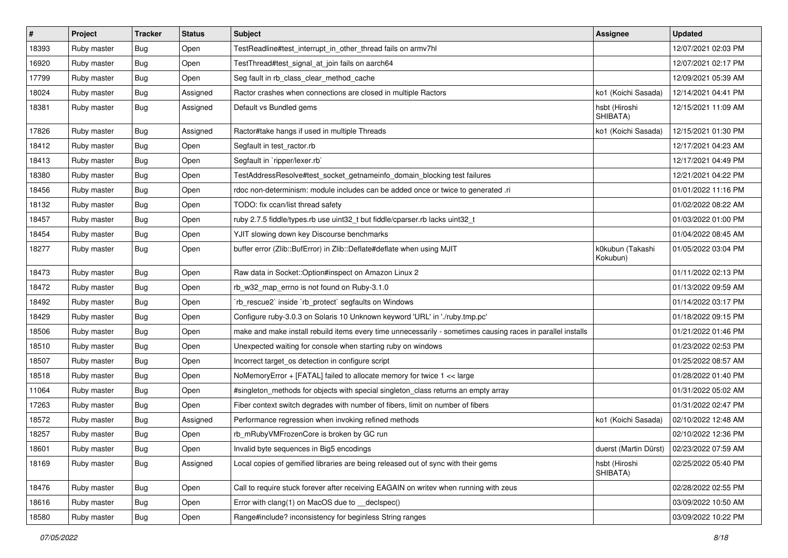| $\pmb{\#}$ | Project     | <b>Tracker</b> | <b>Status</b> | Subject                                                                                                     | Assignee                     | <b>Updated</b>      |
|------------|-------------|----------------|---------------|-------------------------------------------------------------------------------------------------------------|------------------------------|---------------------|
| 18393      | Ruby master | Bug            | Open          | TestReadline#test_interrupt_in_other_thread fails on armv7hl                                                |                              | 12/07/2021 02:03 PM |
| 16920      | Ruby master | <b>Bug</b>     | Open          | TestThread#test_signal_at_join fails on aarch64                                                             |                              | 12/07/2021 02:17 PM |
| 17799      | Ruby master | <b>Bug</b>     | Open          | Seg fault in rb_class_clear_method_cache                                                                    |                              | 12/09/2021 05:39 AM |
| 18024      | Ruby master | <b>Bug</b>     | Assigned      | Ractor crashes when connections are closed in multiple Ractors                                              | ko1 (Koichi Sasada)          | 12/14/2021 04:41 PM |
| 18381      | Ruby master | Bug            | Assigned      | Default vs Bundled gems                                                                                     | hsbt (Hiroshi<br>SHIBATA)    | 12/15/2021 11:09 AM |
| 17826      | Ruby master | <b>Bug</b>     | Assigned      | Ractor#take hangs if used in multiple Threads                                                               | ko1 (Koichi Sasada)          | 12/15/2021 01:30 PM |
| 18412      | Ruby master | Bug            | Open          | Segfault in test_ractor.rb                                                                                  |                              | 12/17/2021 04:23 AM |
| 18413      | Ruby master | <b>Bug</b>     | Open          | Segfault in `ripper/lexer.rb`                                                                               |                              | 12/17/2021 04:49 PM |
| 18380      | Ruby master | <b>Bug</b>     | Open          | TestAddressResolve#test_socket_getnameinfo_domain_blocking test failures                                    |                              | 12/21/2021 04:22 PM |
| 18456      | Ruby master | Bug            | Open          | rdoc non-determinism: module includes can be added once or twice to generated .ri                           |                              | 01/01/2022 11:16 PM |
| 18132      | Ruby master | <b>Bug</b>     | Open          | TODO: fix ccan/list thread safety                                                                           |                              | 01/02/2022 08:22 AM |
| 18457      | Ruby master | Bug            | Open          | ruby 2.7.5 fiddle/types.rb use uint32_t but fiddle/cparser.rb lacks uint32_t                                |                              | 01/03/2022 01:00 PM |
| 18454      | Ruby master | Bug            | Open          | YJIT slowing down key Discourse benchmarks                                                                  |                              | 01/04/2022 08:45 AM |
| 18277      | Ruby master | Bug            | Open          | buffer error (Zlib::BufError) in Zlib::Deflate#deflate when using MJIT                                      | k0kubun (Takashi<br>Kokubun) | 01/05/2022 03:04 PM |
| 18473      | Ruby master | Bug            | Open          | Raw data in Socket:: Option#inspect on Amazon Linux 2                                                       |                              | 01/11/2022 02:13 PM |
| 18472      | Ruby master | <b>Bug</b>     | Open          | rb_w32_map_errno is not found on Ruby-3.1.0                                                                 |                              | 01/13/2022 09:59 AM |
| 18492      | Ruby master | <b>Bug</b>     | Open          | 'rb_rescue2' inside 'rb_protect' segfaults on Windows                                                       |                              | 01/14/2022 03:17 PM |
| 18429      | Ruby master | Bug            | Open          | Configure ruby-3.0.3 on Solaris 10 Unknown keyword 'URL' in './ruby.tmp.pc'                                 |                              | 01/18/2022 09:15 PM |
| 18506      | Ruby master | Bug            | Open          | make and make install rebuild items every time unnecessarily - sometimes causing races in parallel installs |                              | 01/21/2022 01:46 PM |
| 18510      | Ruby master | <b>Bug</b>     | Open          | Unexpected waiting for console when starting ruby on windows                                                |                              | 01/23/2022 02:53 PM |
| 18507      | Ruby master | <b>Bug</b>     | Open          | Incorrect target_os detection in configure script                                                           |                              | 01/25/2022 08:57 AM |
| 18518      | Ruby master | <b>Bug</b>     | Open          | NoMemoryError + [FATAL] failed to allocate memory for twice 1 << large                                      |                              | 01/28/2022 01:40 PM |
| 11064      | Ruby master | Bug            | Open          | #singleton_methods for objects with special singleton_class returns an empty array                          |                              | 01/31/2022 05:02 AM |
| 17263      | Ruby master | <b>Bug</b>     | Open          | Fiber context switch degrades with number of fibers, limit on number of fibers                              |                              | 01/31/2022 02:47 PM |
| 18572      | Ruby master | Bug            | Assigned      | Performance regression when invoking refined methods                                                        | ko1 (Koichi Sasada)          | 02/10/2022 12:48 AM |
| 18257      | Ruby master | <b>Bug</b>     | Open          | rb_mRubyVMFrozenCore is broken by GC run                                                                    |                              | 02/10/2022 12:36 PM |
| 18601      | Ruby master | Bug            | Open          | Invalid byte sequences in Big5 encodings                                                                    | duerst (Martin Dürst)        | 02/23/2022 07:59 AM |
| 18169      | Ruby master | Bug            | Assigned      | Local copies of gemified libraries are being released out of sync with their gems                           | hsbt (Hiroshi<br>SHIBATA)    | 02/25/2022 05:40 PM |
| 18476      | Ruby master | Bug            | Open          | Call to require stuck forever after receiving EAGAIN on writev when running with zeus                       |                              | 02/28/2022 02:55 PM |
| 18616      | Ruby master | Bug            | Open          | Error with clang(1) on MacOS due to declspec()                                                              |                              | 03/09/2022 10:50 AM |
| 18580      | Ruby master | Bug            | Open          | Range#include? inconsistency for beginless String ranges                                                    |                              | 03/09/2022 10:22 PM |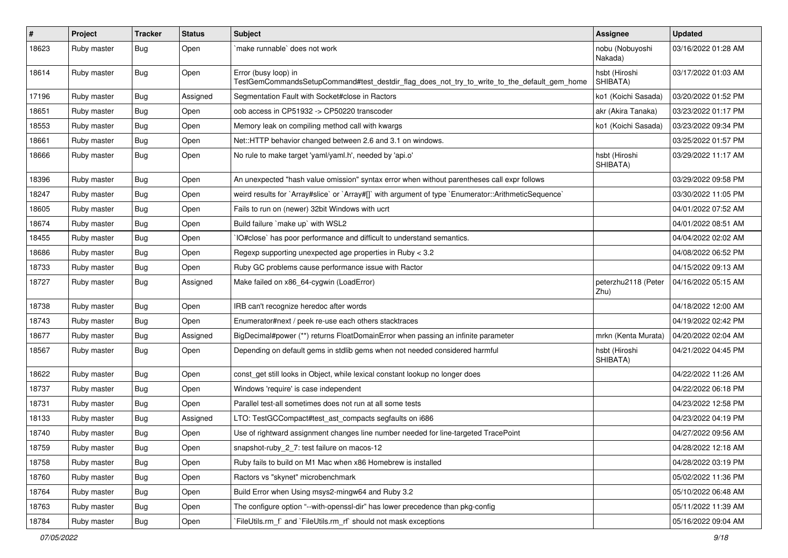| $\vert$ # | Project     | <b>Tracker</b> | <b>Status</b> | <b>Subject</b>                                                                                                      | Assignee                    | <b>Updated</b>      |
|-----------|-------------|----------------|---------------|---------------------------------------------------------------------------------------------------------------------|-----------------------------|---------------------|
| 18623     | Ruby master | <b>Bug</b>     | Open          | make runnable' does not work                                                                                        | nobu (Nobuyoshi<br>Nakada)  | 03/16/2022 01:28 AM |
| 18614     | Ruby master | Bug            | Open          | Error (busy loop) in<br>TestGemCommandsSetupCommand#test_destdir_flag_does_not_try_to_write_to_the_default_gem_home | hsbt (Hiroshi<br>SHIBATA)   | 03/17/2022 01:03 AM |
| 17196     | Ruby master | Bug            | Assigned      | Segmentation Fault with Socket#close in Ractors                                                                     | ko1 (Koichi Sasada)         | 03/20/2022 01:52 PM |
| 18651     | Ruby master | <b>Bug</b>     | Open          | oob access in CP51932 -> CP50220 transcoder                                                                         | akr (Akira Tanaka)          | 03/23/2022 01:17 PM |
| 18553     | Ruby master | <b>Bug</b>     | Open          | Memory leak on compiling method call with kwargs                                                                    | ko1 (Koichi Sasada)         | 03/23/2022 09:34 PM |
| 18661     | Ruby master | Bug            | Open          | Net::HTTP behavior changed between 2.6 and 3.1 on windows.                                                          |                             | 03/25/2022 01:57 PM |
| 18666     | Ruby master | <b>Bug</b>     | Open          | No rule to make target 'yaml/yaml.h', needed by 'api.o'                                                             | hsbt (Hiroshi<br>SHIBATA)   | 03/29/2022 11:17 AM |
| 18396     | Ruby master | Bug            | Open          | An unexpected "hash value omission" syntax error when without parentheses call expr follows                         |                             | 03/29/2022 09:58 PM |
| 18247     | Ruby master | <b>Bug</b>     | Open          | weird results for `Array#slice` or `Array#[]` with argument of type `Enumerator::ArithmeticSequence`                |                             | 03/30/2022 11:05 PM |
| 18605     | Ruby master | <b>Bug</b>     | Open          | Fails to run on (newer) 32bit Windows with ucrt                                                                     |                             | 04/01/2022 07:52 AM |
| 18674     | Ruby master | <b>Bug</b>     | Open          | Build failure `make up` with WSL2                                                                                   |                             | 04/01/2022 08:51 AM |
| 18455     | Ruby master | <b>Bug</b>     | Open          | IO#close` has poor performance and difficult to understand semantics.                                               |                             | 04/04/2022 02:02 AM |
| 18686     | Ruby master | Bug            | Open          | Regexp supporting unexpected age properties in Ruby < 3.2                                                           |                             | 04/08/2022 06:52 PM |
| 18733     | Ruby master | Bug            | Open          | Ruby GC problems cause performance issue with Ractor                                                                |                             | 04/15/2022 09:13 AM |
| 18727     | Ruby master | Bug            | Assigned      | Make failed on x86_64-cygwin (LoadError)                                                                            | peterzhu2118 (Peter<br>Zhu) | 04/16/2022 05:15 AM |
| 18738     | Ruby master | Bug            | Open          | IRB can't recognize heredoc after words                                                                             |                             | 04/18/2022 12:00 AM |
| 18743     | Ruby master | Bug            | Open          | Enumerator#next / peek re-use each others stacktraces                                                               |                             | 04/19/2022 02:42 PM |
| 18677     | Ruby master | Bug            | Assigned      | BigDecimal#power (**) returns FloatDomainError when passing an infinite parameter                                   | mrkn (Kenta Murata)         | 04/20/2022 02:04 AM |
| 18567     | Ruby master | <b>Bug</b>     | Open          | Depending on default gems in stdlib gems when not needed considered harmful                                         | hsbt (Hiroshi<br>SHIBATA)   | 04/21/2022 04:45 PM |
| 18622     | Ruby master | Bug            | Open          | const_get still looks in Object, while lexical constant lookup no longer does                                       |                             | 04/22/2022 11:26 AM |
| 18737     | Ruby master | <b>Bug</b>     | Open          | Windows 'require' is case independent                                                                               |                             | 04/22/2022 06:18 PM |
| 18731     | Ruby master | Bug            | Open          | Parallel test-all sometimes does not run at all some tests                                                          |                             | 04/23/2022 12:58 PM |
| 18133     | Ruby master | <b>Bug</b>     | Assigned      | LTO: TestGCCompact#test_ast_compacts segfaults on i686                                                              |                             | 04/23/2022 04:19 PM |
| 18740     | Ruby master | Bug            | Open          | Use of rightward assignment changes line number needed for line-targeted TracePoint                                 |                             | 04/27/2022 09:56 AM |
| 18759     | Ruby master | Bug            | Open          | snapshot-ruby_2_7: test failure on macos-12                                                                         |                             | 04/28/2022 12:18 AM |
| 18758     | Ruby master | Bug            | Open          | Ruby fails to build on M1 Mac when x86 Homebrew is installed                                                        |                             | 04/28/2022 03:19 PM |
| 18760     | Ruby master | <b>Bug</b>     | Open          | Ractors vs "skynet" microbenchmark                                                                                  |                             | 05/02/2022 11:36 PM |
| 18764     | Ruby master | <b>Bug</b>     | Open          | Build Error when Using msys2-mingw64 and Ruby 3.2                                                                   |                             | 05/10/2022 06:48 AM |
| 18763     | Ruby master | <b>Bug</b>     | Open          | The configure option "--with-openssl-dir" has lower precedence than pkg-config                                      |                             | 05/11/2022 11:39 AM |
| 18784     | Ruby master | <b>Bug</b>     | Open          | FileUtils.rm_f`and `FileUtils.rm_rf` should not mask exceptions                                                     |                             | 05/16/2022 09:04 AM |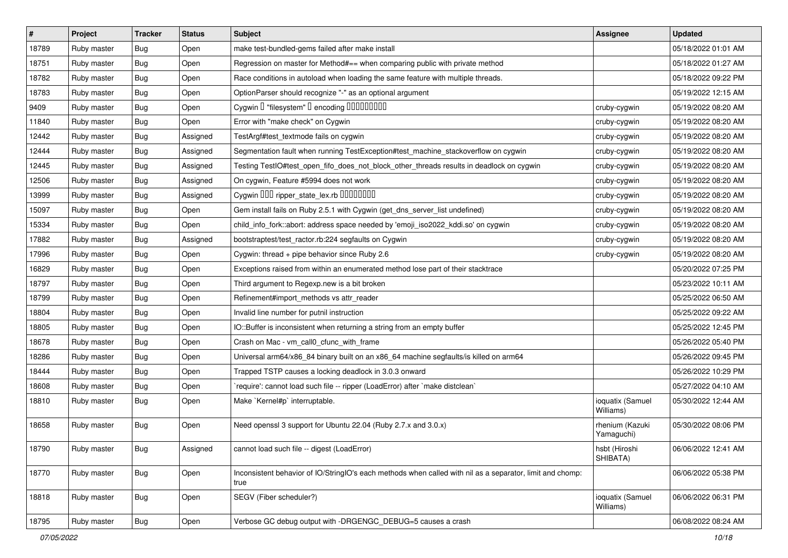| $\vert$ # | Project     | <b>Tracker</b> | <b>Status</b> | Subject                                                                                                           | <b>Assignee</b>               | <b>Updated</b>      |
|-----------|-------------|----------------|---------------|-------------------------------------------------------------------------------------------------------------------|-------------------------------|---------------------|
| 18789     | Ruby master | Bug            | Open          | make test-bundled-gems failed after make install                                                                  |                               | 05/18/2022 01:01 AM |
| 18751     | Ruby master | <b>Bug</b>     | Open          | Regression on master for Method#== when comparing public with private method                                      |                               | 05/18/2022 01:27 AM |
| 18782     | Ruby master | Bug            | Open          | Race conditions in autoload when loading the same feature with multiple threads.                                  |                               | 05/18/2022 09:22 PM |
| 18783     | Ruby master | <b>Bug</b>     | Open          | OptionParser should recognize "-" as an optional argument                                                         |                               | 05/19/2022 12:15 AM |
| 9409      | Ruby master | <b>Bug</b>     | Open          | Cygwin I "filesystem" I encoding IIIIIIIIIIIII                                                                    | cruby-cygwin                  | 05/19/2022 08:20 AM |
| 11840     | Ruby master | Bug            | Open          | Error with "make check" on Cygwin                                                                                 | cruby-cygwin                  | 05/19/2022 08:20 AM |
| 12442     | Ruby master | <b>Bug</b>     | Assigned      | TestArgf#test_textmode fails on cygwin                                                                            | cruby-cygwin                  | 05/19/2022 08:20 AM |
| 12444     | Ruby master | Bug            | Assigned      | Segmentation fault when running TestException#test_machine_stackoverflow on cygwin                                | cruby-cygwin                  | 05/19/2022 08:20 AM |
| 12445     | Ruby master | <b>Bug</b>     | Assigned      | Testing TestIO#test_open_fifo_does_not_block_other_threads results in deadlock on cygwin                          | cruby-cygwin                  | 05/19/2022 08:20 AM |
| 12506     | Ruby master | <b>Bug</b>     | Assigned      | On cygwin, Feature #5994 does not work                                                                            | cruby-cygwin                  | 05/19/2022 08:20 AM |
| 13999     | Ruby master | Bug            | Assigned      | Cygwin DDD ripper_state_lex.rb DDDDDDD                                                                            | cruby-cygwin                  | 05/19/2022 08:20 AM |
| 15097     | Ruby master | <b>Bug</b>     | Open          | Gem install fails on Ruby 2.5.1 with Cygwin (get_dns_server_list undefined)                                       | cruby-cygwin                  | 05/19/2022 08:20 AM |
| 15334     | Ruby master | <b>Bug</b>     | Open          | child_info_fork::abort: address space needed by 'emoji_iso2022_kddi.so' on cygwin                                 | cruby-cygwin                  | 05/19/2022 08:20 AM |
| 17882     | Ruby master | <b>Bug</b>     | Assigned      | bootstraptest/test_ractor.rb:224 segfaults on Cygwin                                                              | cruby-cygwin                  | 05/19/2022 08:20 AM |
| 17996     | Ruby master | <b>Bug</b>     | Open          | Cygwin: thread + pipe behavior since Ruby 2.6                                                                     | cruby-cygwin                  | 05/19/2022 08:20 AM |
| 16829     | Ruby master | Bug            | Open          | Exceptions raised from within an enumerated method lose part of their stacktrace                                  |                               | 05/20/2022 07:25 PM |
| 18797     | Ruby master | <b>Bug</b>     | Open          | Third argument to Regexp.new is a bit broken                                                                      |                               | 05/23/2022 10:11 AM |
| 18799     | Ruby master | Bug            | Open          | Refinement#import_methods vs attr_reader                                                                          |                               | 05/25/2022 06:50 AM |
| 18804     | Ruby master | Bug            | Open          | Invalid line number for putnil instruction                                                                        |                               | 05/25/2022 09:22 AM |
| 18805     | Ruby master | <b>Bug</b>     | Open          | IO::Buffer is inconsistent when returning a string from an empty buffer                                           |                               | 05/25/2022 12:45 PM |
| 18678     | Ruby master | <b>Bug</b>     | Open          | Crash on Mac - vm_call0_cfunc_with_frame                                                                          |                               | 05/26/2022 05:40 PM |
| 18286     | Ruby master | <b>Bug</b>     | Open          | Universal arm64/x86_84 binary built on an x86_64 machine segfaults/is killed on arm64                             |                               | 05/26/2022 09:45 PM |
| 18444     | Ruby master | Bug            | Open          | Trapped TSTP causes a locking deadlock in 3.0.3 onward                                                            |                               | 05/26/2022 10:29 PM |
| 18608     | Ruby master | <b>Bug</b>     | Open          | require': cannot load such file -- ripper (LoadError) after `make distclean`                                      |                               | 05/27/2022 04:10 AM |
| 18810     | Ruby master | <b>Bug</b>     | Open          | Make `Kernel#p` interruptable.                                                                                    | ioquatix (Samuel<br>Williams) | 05/30/2022 12:44 AM |
| 18658     | Ruby master | Bug            | Open          | Need openssl 3 support for Ubuntu 22.04 (Ruby 2.7.x and 3.0.x)                                                    | rhenium (Kazuki<br>Yamaguchi) | 05/30/2022 08:06 PM |
| 18790     | Ruby master | <b>Bug</b>     | Assigned      | cannot load such file -- digest (LoadError)                                                                       | hsbt (Hiroshi<br>SHIBATA)     | 06/06/2022 12:41 AM |
| 18770     | Ruby master | <b>Bug</b>     | Open          | Inconsistent behavior of IO/StringIO's each methods when called with nil as a separator, limit and chomp:<br>true |                               | 06/06/2022 05:38 PM |
| 18818     | Ruby master | <b>Bug</b>     | Open          | SEGV (Fiber scheduler?)                                                                                           | ioquatix (Samuel<br>Williams) | 06/06/2022 06:31 PM |
| 18795     | Ruby master | Bug            | Open          | Verbose GC debug output with -DRGENGC DEBUG=5 causes a crash                                                      |                               | 06/08/2022 08:24 AM |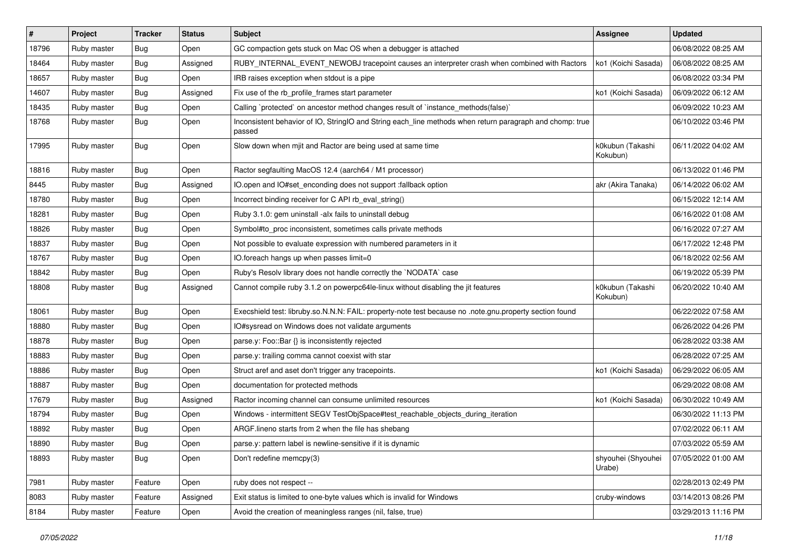| #     | Project     | <b>Tracker</b> | <b>Status</b> | <b>Subject</b>                                                                                                     | <b>Assignee</b>              | <b>Updated</b>      |
|-------|-------------|----------------|---------------|--------------------------------------------------------------------------------------------------------------------|------------------------------|---------------------|
| 18796 | Ruby master | Bug            | Open          | GC compaction gets stuck on Mac OS when a debugger is attached                                                     |                              | 06/08/2022 08:25 AM |
| 18464 | Ruby master | <b>Bug</b>     | Assigned      | RUBY_INTERNAL_EVENT_NEWOBJ tracepoint causes an interpreter crash when combined with Ractors                       | ko1 (Koichi Sasada)          | 06/08/2022 08:25 AM |
| 18657 | Ruby master | Bug            | Open          | IRB raises exception when stdout is a pipe                                                                         |                              | 06/08/2022 03:34 PM |
| 14607 | Ruby master | <b>Bug</b>     | Assigned      | Fix use of the rb_profile_frames start parameter                                                                   | ko1 (Koichi Sasada)          | 06/09/2022 06:12 AM |
| 18435 | Ruby master | <b>Bug</b>     | Open          | Calling `protected` on ancestor method changes result of `instance_methods(false)`                                 |                              | 06/09/2022 10:23 AM |
| 18768 | Ruby master | Bug            | Open          | Inconsistent behavior of IO, StringIO and String each_line methods when return paragraph and chomp: true<br>passed |                              | 06/10/2022 03:46 PM |
| 17995 | Ruby master | Bug            | Open          | Slow down when mjit and Ractor are being used at same time                                                         | k0kubun (Takashi<br>Kokubun) | 06/11/2022 04:02 AM |
| 18816 | Ruby master | Bug            | Open          | Ractor segfaulting MacOS 12.4 (aarch64 / M1 processor)                                                             |                              | 06/13/2022 01:46 PM |
| 8445  | Ruby master | Bug            | Assigned      | IO.open and IO#set_enconding does not support :fallback option                                                     | akr (Akira Tanaka)           | 06/14/2022 06:02 AM |
| 18780 | Ruby master | <b>Bug</b>     | Open          | Incorrect binding receiver for C API rb_eval_string()                                                              |                              | 06/15/2022 12:14 AM |
| 18281 | Ruby master | <b>Bug</b>     | Open          | Ruby 3.1.0: gem uninstall -alx fails to uninstall debug                                                            |                              | 06/16/2022 01:08 AM |
| 18826 | Ruby master | <b>Bug</b>     | Open          | Symbol#to proc inconsistent, sometimes calls private methods                                                       |                              | 06/16/2022 07:27 AM |
| 18837 | Ruby master | <b>Bug</b>     | Open          | Not possible to evaluate expression with numbered parameters in it                                                 |                              | 06/17/2022 12:48 PM |
| 18767 | Ruby master | <b>Bug</b>     | Open          | IO.foreach hangs up when passes limit=0                                                                            |                              | 06/18/2022 02:56 AM |
| 18842 | Ruby master | Bug            | Open          | Ruby's Resolv library does not handle correctly the `NODATA` case                                                  |                              | 06/19/2022 05:39 PM |
| 18808 | Ruby master | <b>Bug</b>     | Assigned      | Cannot compile ruby 3.1.2 on powerpc64le-linux without disabling the jit features                                  | k0kubun (Takashi<br>Kokubun) | 06/20/2022 10:40 AM |
| 18061 | Ruby master | Bug            | Open          | Execshield test: libruby.so.N.N.N: FAIL: property-note test because no .note.gnu.property section found            |                              | 06/22/2022 07:58 AM |
| 18880 | Ruby master | Bug            | Open          | IO#sysread on Windows does not validate arguments                                                                  |                              | 06/26/2022 04:26 PM |
| 18878 | Ruby master | <b>Bug</b>     | Open          | parse.y: Foo::Bar {} is inconsistently rejected                                                                    |                              | 06/28/2022 03:38 AM |
| 18883 | Ruby master | Bug            | Open          | parse.y: trailing comma cannot coexist with star                                                                   |                              | 06/28/2022 07:25 AM |
| 18886 | Ruby master | Bug            | Open          | Struct aref and aset don't trigger any tracepoints.                                                                | ko1 (Koichi Sasada)          | 06/29/2022 06:05 AM |
| 18887 | Ruby master | <b>Bug</b>     | Open          | documentation for protected methods                                                                                |                              | 06/29/2022 08:08 AM |
| 17679 | Ruby master | <b>Bug</b>     | Assigned      | Ractor incoming channel can consume unlimited resources                                                            | ko1 (Koichi Sasada)          | 06/30/2022 10:49 AM |
| 18794 | Ruby master | <b>Bug</b>     | Open          | Windows - intermittent SEGV TestObjSpace#test_reachable_objects_during_iteration                                   |                              | 06/30/2022 11:13 PM |
| 18892 | Ruby master | Bug            | Open          | ARGF lineno starts from 2 when the file has shebang                                                                |                              | 07/02/2022 06:11 AM |
| 18890 | Ruby master | I Bug          | Open          | parse.y: pattern label is newline-sensitive if it is dynamic                                                       |                              | 07/03/2022 05:59 AM |
| 18893 | Ruby master | <b>Bug</b>     | Open          | Don't redefine memcpy(3)                                                                                           | shyouhei (Shyouhei<br>Urabe) | 07/05/2022 01:00 AM |
| 7981  | Ruby master | Feature        | Open          | ruby does not respect --                                                                                           |                              | 02/28/2013 02:49 PM |
| 8083  | Ruby master | Feature        | Assigned      | Exit status is limited to one-byte values which is invalid for Windows                                             | cruby-windows                | 03/14/2013 08:26 PM |
| 8184  | Ruby master | Feature        | Open          | Avoid the creation of meaningless ranges (nil, false, true)                                                        |                              | 03/29/2013 11:16 PM |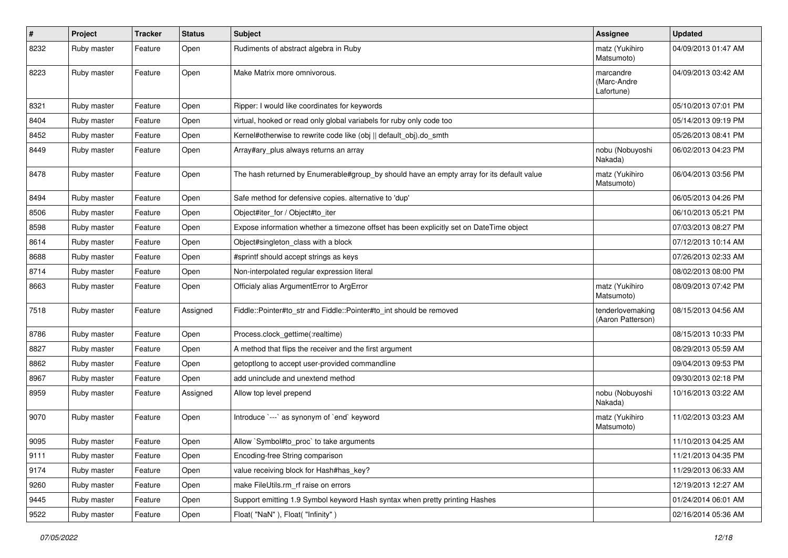| $\sharp$ | Project     | Tracker | <b>Status</b> | Subject                                                                                   | Assignee                               | <b>Updated</b>      |
|----------|-------------|---------|---------------|-------------------------------------------------------------------------------------------|----------------------------------------|---------------------|
| 8232     | Ruby master | Feature | Open          | Rudiments of abstract algebra in Ruby                                                     | matz (Yukihiro<br>Matsumoto)           | 04/09/2013 01:47 AM |
| 8223     | Ruby master | Feature | Open          | Make Matrix more omnivorous.                                                              | marcandre<br>(Marc-Andre<br>Lafortune) | 04/09/2013 03:42 AM |
| 8321     | Ruby master | Feature | Open          | Ripper: I would like coordinates for keywords                                             |                                        | 05/10/2013 07:01 PM |
| 8404     | Ruby master | Feature | Open          | virtual, hooked or read only global variabels for ruby only code too                      |                                        | 05/14/2013 09:19 PM |
| 8452     | Ruby master | Feature | Open          | Kernel#otherwise to rewrite code like (obj    default obj).do smth                        |                                        | 05/26/2013 08:41 PM |
| 8449     | Ruby master | Feature | Open          | Array#ary_plus always returns an array                                                    | nobu (Nobuyoshi<br>Nakada)             | 06/02/2013 04:23 PM |
| 8478     | Ruby master | Feature | Open          | The hash returned by Enumerable#group_by should have an empty array for its default value | matz (Yukihiro<br>Matsumoto)           | 06/04/2013 03:56 PM |
| 8494     | Ruby master | Feature | Open          | Safe method for defensive copies. alternative to 'dup'                                    |                                        | 06/05/2013 04:26 PM |
| 8506     | Ruby master | Feature | Open          | Object#iter_for / Object#to_iter                                                          |                                        | 06/10/2013 05:21 PM |
| 8598     | Ruby master | Feature | Open          | Expose information whether a timezone offset has been explicitly set on DateTime object   |                                        | 07/03/2013 08:27 PM |
| 8614     | Ruby master | Feature | Open          | Object#singleton_class with a block                                                       |                                        | 07/12/2013 10:14 AM |
| 8688     | Ruby master | Feature | Open          | #sprintf should accept strings as keys                                                    |                                        | 07/26/2013 02:33 AM |
| 8714     | Ruby master | Feature | Open          | Non-interpolated regular expression literal                                               |                                        | 08/02/2013 08:00 PM |
| 8663     | Ruby master | Feature | Open          | Officialy alias ArgumentError to ArgError                                                 | matz (Yukihiro<br>Matsumoto)           | 08/09/2013 07:42 PM |
| 7518     | Ruby master | Feature | Assigned      | Fiddle::Pointer#to_str and Fiddle::Pointer#to_int should be removed                       | tenderlovemaking<br>(Aaron Patterson)  | 08/15/2013 04:56 AM |
| 8786     | Ruby master | Feature | Open          | Process.clock_gettime(:realtime)                                                          |                                        | 08/15/2013 10:33 PM |
| 8827     | Ruby master | Feature | Open          | A method that flips the receiver and the first argument                                   |                                        | 08/29/2013 05:59 AM |
| 8862     | Ruby master | Feature | Open          | getoptlong to accept user-provided commandline                                            |                                        | 09/04/2013 09:53 PM |
| 8967     | Ruby master | Feature | Open          | add uninclude and unextend method                                                         |                                        | 09/30/2013 02:18 PM |
| 8959     | Ruby master | Feature | Assigned      | Allow top level prepend                                                                   | nobu (Nobuyoshi<br>Nakada)             | 10/16/2013 03:22 AM |
| 9070     | Ruby master | Feature | Open          | Introduce `---` as synonym of `end` keyword                                               | matz (Yukihiro<br>Matsumoto)           | 11/02/2013 03:23 AM |
| 9095     | Ruby master | Feature | Open          | Allow `Symbol#to proc` to take arguments                                                  |                                        | 11/10/2013 04:25 AM |
| 9111     | Ruby master | Feature | Open          | Encoding-free String comparison                                                           |                                        | 11/21/2013 04:35 PM |
| 9174     | Ruby master | Feature | Open          | value receiving block for Hash#has_key?                                                   |                                        | 11/29/2013 06:33 AM |
| 9260     | Ruby master | Feature | Open          | make FileUtils.rm_rf raise on errors                                                      |                                        | 12/19/2013 12:27 AM |
| 9445     | Ruby master | Feature | Open          | Support emitting 1.9 Symbol keyword Hash syntax when pretty printing Hashes               |                                        | 01/24/2014 06:01 AM |
| 9522     | Ruby master | Feature | Open          | Float("NaN"), Float("Infinity")                                                           |                                        | 02/16/2014 05:36 AM |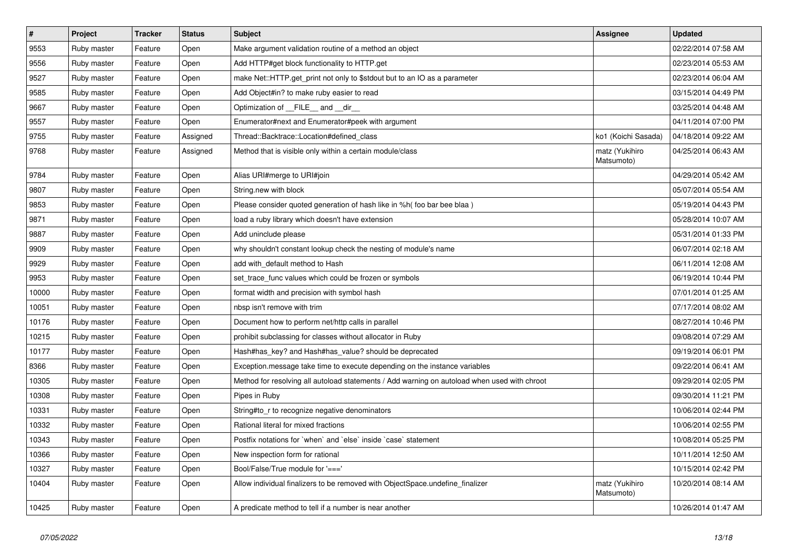| $\vert$ # | Project     | <b>Tracker</b> | <b>Status</b> | <b>Subject</b>                                                                               | <b>Assignee</b>              | <b>Updated</b>      |
|-----------|-------------|----------------|---------------|----------------------------------------------------------------------------------------------|------------------------------|---------------------|
| 9553      | Ruby master | Feature        | Open          | Make argument validation routine of a method an object                                       |                              | 02/22/2014 07:58 AM |
| 9556      | Ruby master | Feature        | Open          | Add HTTP#get block functionality to HTTP.get                                                 |                              | 02/23/2014 05:53 AM |
| 9527      | Ruby master | Feature        | Open          | make Net::HTTP.get_print not only to \$stdout but to an IO as a parameter                    |                              | 02/23/2014 06:04 AM |
| 9585      | Ruby master | Feature        | Open          | Add Object#in? to make ruby easier to read                                                   |                              | 03/15/2014 04:49 PM |
| 9667      | Ruby master | Feature        | Open          | Optimization of FILE_and _dir_                                                               |                              | 03/25/2014 04:48 AM |
| 9557      | Ruby master | Feature        | Open          | Enumerator#next and Enumerator#peek with argument                                            |                              | 04/11/2014 07:00 PM |
| 9755      | Ruby master | Feature        | Assigned      | Thread::Backtrace::Location#defined_class                                                    | ko1 (Koichi Sasada)          | 04/18/2014 09:22 AM |
| 9768      | Ruby master | Feature        | Assigned      | Method that is visible only within a certain module/class                                    | matz (Yukihiro<br>Matsumoto) | 04/25/2014 06:43 AM |
| 9784      | Ruby master | Feature        | Open          | Alias URI#merge to URI#join                                                                  |                              | 04/29/2014 05:42 AM |
| 9807      | Ruby master | Feature        | Open          | String.new with block                                                                        |                              | 05/07/2014 05:54 AM |
| 9853      | Ruby master | Feature        | Open          | Please consider quoted generation of hash like in %h( foo bar bee blaa)                      |                              | 05/19/2014 04:43 PM |
| 9871      | Ruby master | Feature        | Open          | load a ruby library which doesn't have extension                                             |                              | 05/28/2014 10:07 AM |
| 9887      | Ruby master | Feature        | Open          | Add uninclude please                                                                         |                              | 05/31/2014 01:33 PM |
| 9909      | Ruby master | Feature        | Open          | why shouldn't constant lookup check the nesting of module's name                             |                              | 06/07/2014 02:18 AM |
| 9929      | Ruby master | Feature        | Open          | add with default method to Hash                                                              |                              | 06/11/2014 12:08 AM |
| 9953      | Ruby master | Feature        | Open          | set_trace_func values which could be frozen or symbols                                       |                              | 06/19/2014 10:44 PM |
| 10000     | Ruby master | Feature        | Open          | format width and precision with symbol hash                                                  |                              | 07/01/2014 01:25 AM |
| 10051     | Ruby master | Feature        | Open          | nbsp isn't remove with trim                                                                  |                              | 07/17/2014 08:02 AM |
| 10176     | Ruby master | Feature        | Open          | Document how to perform net/http calls in parallel                                           |                              | 08/27/2014 10:46 PM |
| 10215     | Ruby master | Feature        | Open          | prohibit subclassing for classes without allocator in Ruby                                   |                              | 09/08/2014 07:29 AM |
| 10177     | Ruby master | Feature        | Open          | Hash#has_key? and Hash#has_value? should be deprecated                                       |                              | 09/19/2014 06:01 PM |
| 8366      | Ruby master | Feature        | Open          | Exception message take time to execute depending on the instance variables                   |                              | 09/22/2014 06:41 AM |
| 10305     | Ruby master | Feature        | Open          | Method for resolving all autoload statements / Add warning on autoload when used with chroot |                              | 09/29/2014 02:05 PM |
| 10308     | Ruby master | Feature        | Open          | Pipes in Ruby                                                                                |                              | 09/30/2014 11:21 PM |
| 10331     | Ruby master | Feature        | Open          | String#to_r to recognize negative denominators                                               |                              | 10/06/2014 02:44 PM |
| 10332     | Ruby master | Feature        | Open          | Rational literal for mixed fractions                                                         |                              | 10/06/2014 02:55 PM |
| 10343     | Ruby master | Feature        | Open          | Postfix notations for `when` and `else` inside `case` statement                              |                              | 10/08/2014 05:25 PM |
| 10366     | Ruby master | Feature        | Open          | New inspection form for rational                                                             |                              | 10/11/2014 12:50 AM |
| 10327     | Ruby master | Feature        | Open          | Bool/False/True module for '==='                                                             |                              | 10/15/2014 02:42 PM |
| 10404     | Ruby master | Feature        | Open          | Allow individual finalizers to be removed with ObjectSpace.undefine finalizer                | matz (Yukihiro<br>Matsumoto) | 10/20/2014 08:14 AM |
| 10425     | Ruby master | Feature        | Open          | A predicate method to tell if a number is near another                                       |                              | 10/26/2014 01:47 AM |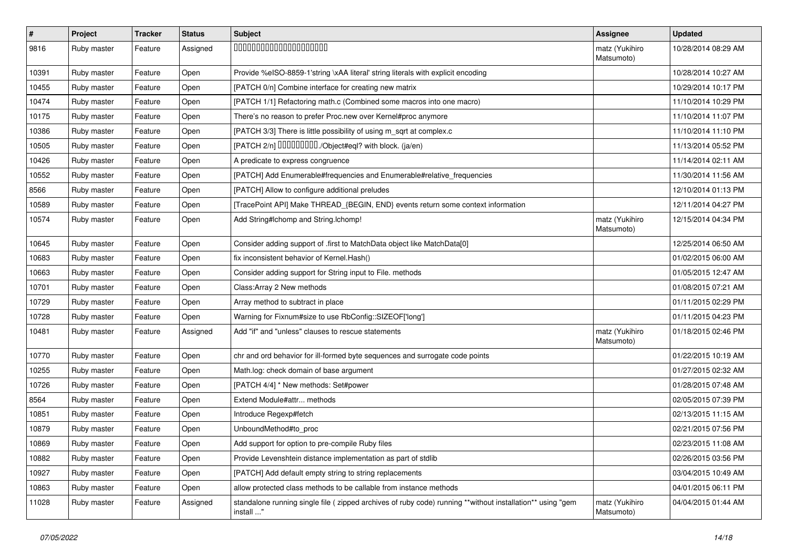| $\pmb{\#}$ | Project     | <b>Tracker</b> | <b>Status</b> | Subject                                                                                                                | <b>Assignee</b>              | <b>Updated</b>      |
|------------|-------------|----------------|---------------|------------------------------------------------------------------------------------------------------------------------|------------------------------|---------------------|
| 9816       | Ruby master | Feature        | Assigned      | 00000000000000000000                                                                                                   | matz (Yukihiro<br>Matsumoto) | 10/28/2014 08:29 AM |
| 10391      | Ruby master | Feature        | Open          | Provide %eISO-8859-1'string \xAA literal' string literals with explicit encoding                                       |                              | 10/28/2014 10:27 AM |
| 10455      | Ruby master | Feature        | Open          | [PATCH 0/n] Combine interface for creating new matrix                                                                  |                              | 10/29/2014 10:17 PM |
| 10474      | Ruby master | Feature        | Open          | [PATCH 1/1] Refactoring math.c (Combined some macros into one macro)                                                   |                              | 11/10/2014 10:29 PM |
| 10175      | Ruby master | Feature        | Open          | There's no reason to prefer Proc.new over Kernel#proc anymore                                                          |                              | 11/10/2014 11:07 PM |
| 10386      | Ruby master | Feature        | Open          | [PATCH 3/3] There is little possibility of using m_sqrt at complex.c                                                   |                              | 11/10/2014 11:10 PM |
| 10505      | Ruby master | Feature        | Open          | [PATCH 2/n] DDDDDDDD./Object#eql? with block. (ja/en)                                                                  |                              | 11/13/2014 05:52 PM |
| 10426      | Ruby master | Feature        | Open          | A predicate to express congruence                                                                                      |                              | 11/14/2014 02:11 AM |
| 10552      | Ruby master | Feature        | Open          | [PATCH] Add Enumerable#frequencies and Enumerable#relative_frequencies                                                 |                              | 11/30/2014 11:56 AM |
| 8566       | Ruby master | Feature        | Open          | [PATCH] Allow to configure additional preludes                                                                         |                              | 12/10/2014 01:13 PM |
| 10589      | Ruby master | Feature        | Open          | [TracePoint API] Make THREAD_{BEGIN, END} events return some context information                                       |                              | 12/11/2014 04:27 PM |
| 10574      | Ruby master | Feature        | Open          | Add String#Ichomp and String.Ichomp!                                                                                   | matz (Yukihiro<br>Matsumoto) | 12/15/2014 04:34 PM |
| 10645      | Ruby master | Feature        | Open          | Consider adding support of .first to MatchData object like MatchData[0]                                                |                              | 12/25/2014 06:50 AM |
| 10683      | Ruby master | Feature        | Open          | fix inconsistent behavior of Kernel.Hash()                                                                             |                              | 01/02/2015 06:00 AM |
| 10663      | Ruby master | Feature        | Open          | Consider adding support for String input to File. methods                                                              |                              | 01/05/2015 12:47 AM |
| 10701      | Ruby master | Feature        | Open          | Class: Array 2 New methods                                                                                             |                              | 01/08/2015 07:21 AM |
| 10729      | Ruby master | Feature        | Open          | Array method to subtract in place                                                                                      |                              | 01/11/2015 02:29 PM |
| 10728      | Ruby master | Feature        | Open          | Warning for Fixnum#size to use RbConfig::SIZEOF['long']                                                                |                              | 01/11/2015 04:23 PM |
| 10481      | Ruby master | Feature        | Assigned      | Add "if" and "unless" clauses to rescue statements                                                                     | matz (Yukihiro<br>Matsumoto) | 01/18/2015 02:46 PM |
| 10770      | Ruby master | Feature        | Open          | chr and ord behavior for ill-formed byte sequences and surrogate code points                                           |                              | 01/22/2015 10:19 AM |
| 10255      | Ruby master | Feature        | Open          | Math.log: check domain of base argument                                                                                |                              | 01/27/2015 02:32 AM |
| 10726      | Ruby master | Feature        | Open          | [PATCH 4/4] * New methods: Set#power                                                                                   |                              | 01/28/2015 07:48 AM |
| 8564       | Ruby master | Feature        | Open          | Extend Module#attr methods                                                                                             |                              | 02/05/2015 07:39 PM |
| 10851      | Ruby master | Feature        | Open          | Introduce Regexp#fetch                                                                                                 |                              | 02/13/2015 11:15 AM |
| 10879      | Ruby master | Feature        | Open          | UnboundMethod#to_proc                                                                                                  |                              | 02/21/2015 07:56 PM |
| 10869      | Ruby master | Feature        | Open          | Add support for option to pre-compile Ruby files                                                                       |                              | 02/23/2015 11:08 AM |
| 10882      | Ruby master | Feature        | Open          | Provide Levenshtein distance implementation as part of stdlib                                                          |                              | 02/26/2015 03:56 PM |
| 10927      | Ruby master | Feature        | Open          | [PATCH] Add default empty string to string replacements                                                                |                              | 03/04/2015 10:49 AM |
| 10863      | Ruby master | Feature        | Open          | allow protected class methods to be callable from instance methods                                                     |                              | 04/01/2015 06:11 PM |
| 11028      | Ruby master | Feature        | Assigned      | standalone running single file (zipped archives of ruby code) running **without installation** using "gem<br>install " | matz (Yukihiro<br>Matsumoto) | 04/04/2015 01:44 AM |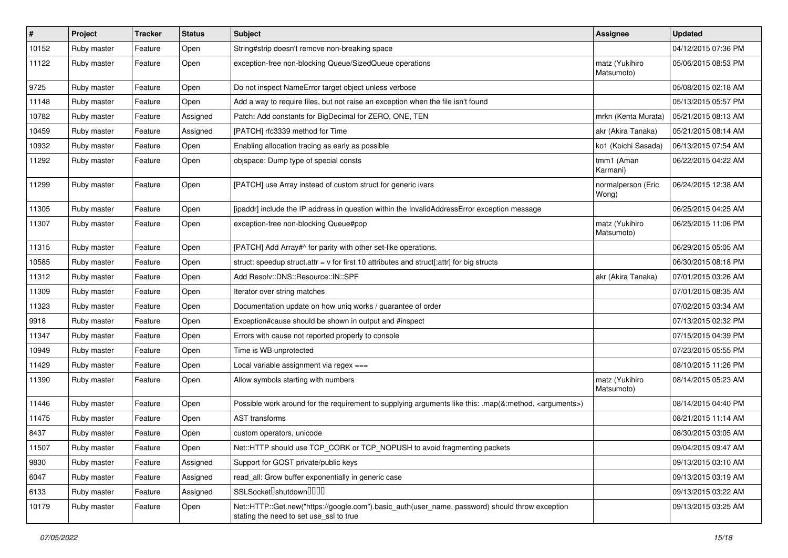| #     | Project     | <b>Tracker</b> | <b>Status</b> | Subject                                                                                                                                    | <b>Assignee</b>              | <b>Updated</b>      |
|-------|-------------|----------------|---------------|--------------------------------------------------------------------------------------------------------------------------------------------|------------------------------|---------------------|
| 10152 | Ruby master | Feature        | Open          | String#strip doesn't remove non-breaking space                                                                                             |                              | 04/12/2015 07:36 PM |
| 11122 | Ruby master | Feature        | Open          | exception-free non-blocking Queue/SizedQueue operations                                                                                    | matz (Yukihiro<br>Matsumoto) | 05/06/2015 08:53 PM |
| 9725  | Ruby master | Feature        | Open          | Do not inspect NameError target object unless verbose                                                                                      |                              | 05/08/2015 02:18 AM |
| 11148 | Ruby master | Feature        | Open          | Add a way to require files, but not raise an exception when the file isn't found                                                           |                              | 05/13/2015 05:57 PM |
| 10782 | Ruby master | Feature        | Assigned      | Patch: Add constants for BigDecimal for ZERO, ONE, TEN                                                                                     | mrkn (Kenta Murata)          | 05/21/2015 08:13 AM |
| 10459 | Ruby master | Feature        | Assigned      | [PATCH] rfc3339 method for Time                                                                                                            | akr (Akira Tanaka)           | 05/21/2015 08:14 AM |
| 10932 | Ruby master | Feature        | Open          | Enabling allocation tracing as early as possible                                                                                           | ko1 (Koichi Sasada)          | 06/13/2015 07:54 AM |
| 11292 | Ruby master | Feature        | Open          | objspace: Dump type of special consts                                                                                                      | tmm1 (Aman<br>Karmani)       | 06/22/2015 04:22 AM |
| 11299 | Ruby master | Feature        | Open          | [PATCH] use Array instead of custom struct for generic ivars                                                                               | normalperson (Eric<br>Wong)  | 06/24/2015 12:38 AM |
| 11305 | Ruby master | Feature        | Open          | [ipaddr] include the IP address in question within the InvalidAddressError exception message                                               |                              | 06/25/2015 04:25 AM |
| 11307 | Ruby master | Feature        | Open          | exception-free non-blocking Queue#pop                                                                                                      | matz (Yukihiro<br>Matsumoto) | 06/25/2015 11:06 PM |
| 11315 | Ruby master | Feature        | Open          | [PATCH] Add Array#^ for parity with other set-like operations.                                                                             |                              | 06/29/2015 05:05 AM |
| 10585 | Ruby master | Feature        | Open          | struct: speedup struct.attr = $v$ for first 10 attributes and struct[:attr] for big structs                                                |                              | 06/30/2015 08:18 PM |
| 11312 | Ruby master | Feature        | Open          | Add Resolv::DNS::Resource::IN::SPF                                                                                                         | akr (Akira Tanaka)           | 07/01/2015 03:26 AM |
| 11309 | Ruby master | Feature        | Open          | Iterator over string matches                                                                                                               |                              | 07/01/2015 08:35 AM |
| 11323 | Ruby master | Feature        | Open          | Documentation update on how uniq works / guarantee of order                                                                                |                              | 07/02/2015 03:34 AM |
| 9918  | Ruby master | Feature        | Open          | Exception#cause should be shown in output and #inspect                                                                                     |                              | 07/13/2015 02:32 PM |
| 11347 | Ruby master | Feature        | Open          | Errors with cause not reported properly to console                                                                                         |                              | 07/15/2015 04:39 PM |
| 10949 | Ruby master | Feature        | Open          | Time is WB unprotected                                                                                                                     |                              | 07/23/2015 05:55 PM |
| 11429 | Ruby master | Feature        | Open          | Local variable assignment via regex ===                                                                                                    |                              | 08/10/2015 11:26 PM |
| 11390 | Ruby master | Feature        | Open          | Allow symbols starting with numbers                                                                                                        | matz (Yukihiro<br>Matsumoto) | 08/14/2015 05:23 AM |
| 11446 | Ruby master | Feature        | Open          | Possible work around for the requirement to supplying arguments like this: .map(&:method, <arguments>)</arguments>                         |                              | 08/14/2015 04:40 PM |
| 11475 | Ruby master | Feature        | Open          | <b>AST</b> transforms                                                                                                                      |                              | 08/21/2015 11:14 AM |
| 8437  | Ruby master | Feature        | Open          | custom operators, unicode                                                                                                                  |                              | 08/30/2015 03:05 AM |
| 11507 | Ruby master | Feature        | Open          | Net::HTTP should use TCP_CORK or TCP_NOPUSH to avoid fragmenting packets                                                                   |                              | 09/04/2015 09:47 AM |
| 9830  | Ruby master | Feature        | Assigned      | Support for GOST private/public keys                                                                                                       |                              | 09/13/2015 03:10 AM |
| 6047  | Ruby master | Feature        | Assigned      | read_all: Grow buffer exponentially in generic case                                                                                        |                              | 09/13/2015 03:19 AM |
| 6133  | Ruby master | Feature        | Assigned      | SSLSocketDshutdownDDDD                                                                                                                     |                              | 09/13/2015 03:22 AM |
| 10179 | Ruby master | Feature        | Open          | Net::HTTP::Get.new("https://google.com").basic_auth(user_name, password) should throw exception<br>stating the need to set use_ssl to true |                              | 09/13/2015 03:25 AM |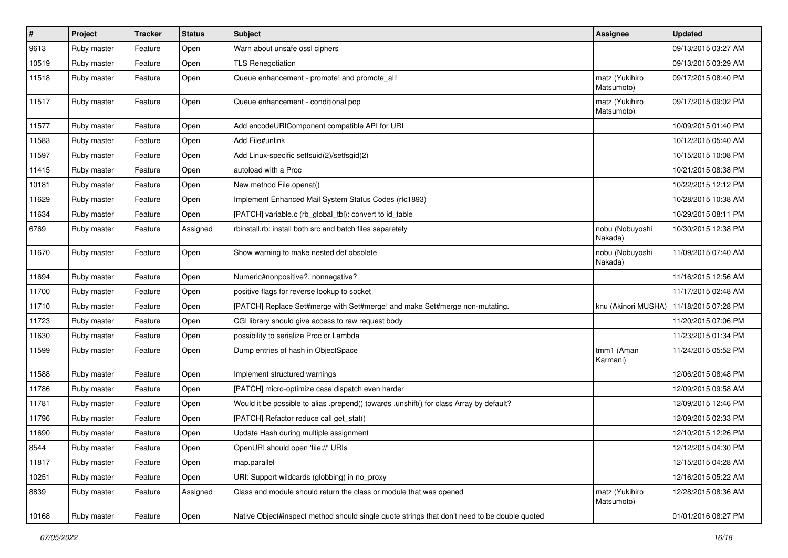| #     | Project     | <b>Tracker</b> | <b>Status</b> | <b>Subject</b>                                                                               | <b>Assignee</b>              | <b>Updated</b>      |
|-------|-------------|----------------|---------------|----------------------------------------------------------------------------------------------|------------------------------|---------------------|
| 9613  | Ruby master | Feature        | Open          | Warn about unsafe ossl ciphers                                                               |                              | 09/13/2015 03:27 AM |
| 10519 | Ruby master | Feature        | Open          | <b>TLS Renegotiation</b>                                                                     |                              | 09/13/2015 03:29 AM |
| 11518 | Ruby master | Feature        | Open          | Queue enhancement - promote! and promote_all!                                                | matz (Yukihiro<br>Matsumoto) | 09/17/2015 08:40 PM |
| 11517 | Ruby master | Feature        | Open          | Queue enhancement - conditional pop                                                          | matz (Yukihiro<br>Matsumoto) | 09/17/2015 09:02 PM |
| 11577 | Ruby master | Feature        | Open          | Add encodeURIComponent compatible API for URI                                                |                              | 10/09/2015 01:40 PM |
| 11583 | Ruby master | Feature        | Open          | Add File#unlink                                                                              |                              | 10/12/2015 05:40 AM |
| 11597 | Ruby master | Feature        | Open          | Add Linux-specific setfsuid(2)/setfsgid(2)                                                   |                              | 10/15/2015 10:08 PM |
| 11415 | Ruby master | Feature        | Open          | autoload with a Proc                                                                         |                              | 10/21/2015 08:38 PM |
| 10181 | Ruby master | Feature        | Open          | New method File.openat()                                                                     |                              | 10/22/2015 12:12 PM |
| 11629 | Ruby master | Feature        | Open          | Implement Enhanced Mail System Status Codes (rfc1893)                                        |                              | 10/28/2015 10:38 AM |
| 11634 | Ruby master | Feature        | Open          | [PATCH] variable.c (rb_global_tbl): convert to id_table                                      |                              | 10/29/2015 08:11 PM |
| 6769  | Ruby master | Feature        | Assigned      | rbinstall.rb: install both src and batch files separetely                                    | nobu (Nobuyoshi<br>Nakada)   | 10/30/2015 12:38 PM |
| 11670 | Ruby master | Feature        | Open          | Show warning to make nested def obsolete                                                     | nobu (Nobuyoshi<br>Nakada)   | 11/09/2015 07:40 AM |
| 11694 | Ruby master | Feature        | Open          | Numeric#nonpositive?, nonnegative?                                                           |                              | 11/16/2015 12:56 AM |
| 11700 | Ruby master | Feature        | Open          | positive flags for reverse lookup to socket                                                  |                              | 11/17/2015 02:48 AM |
| 11710 | Ruby master | Feature        | Open          | [PATCH] Replace Set#merge with Set#merge! and make Set#merge non-mutating.                   | knu (Akinori MUSHA)          | 11/18/2015 07:28 PM |
| 11723 | Ruby master | Feature        | Open          | CGI library should give access to raw request body                                           |                              | 11/20/2015 07:06 PM |
| 11630 | Ruby master | Feature        | Open          | possibility to serialize Proc or Lambda                                                      |                              | 11/23/2015 01:34 PM |
| 11599 | Ruby master | Feature        | Open          | Dump entries of hash in ObjectSpace                                                          | tmm1 (Aman<br>Karmani)       | 11/24/2015 05:52 PM |
| 11588 | Ruby master | Feature        | Open          | Implement structured warnings                                                                |                              | 12/06/2015 08:48 PM |
| 11786 | Ruby master | Feature        | Open          | [PATCH] micro-optimize case dispatch even harder                                             |                              | 12/09/2015 09:58 AM |
| 11781 | Ruby master | Feature        | Open          | Would it be possible to alias .prepend() towards .unshift() for class Array by default?      |                              | 12/09/2015 12:46 PM |
| 11796 | Ruby master | Feature        | Open          | [PATCH] Refactor reduce call get_stat()                                                      |                              | 12/09/2015 02:33 PM |
| 11690 | Ruby master | Feature        | Open          | Update Hash during multiple assignment                                                       |                              | 12/10/2015 12:26 PM |
| 8544  | Ruby master | I Feature      | Open          | OpenURI should open 'file://' URIs                                                           |                              | 12/12/2015 04:30 PM |
| 11817 | Ruby master | Feature        | Open          | map.parallel                                                                                 |                              | 12/15/2015 04:28 AM |
| 10251 | Ruby master | Feature        | Open          | URI: Support wildcards (globbing) in no_proxy                                                |                              | 12/16/2015 05:22 AM |
| 8839  | Ruby master | Feature        | Assigned      | Class and module should return the class or module that was opened                           | matz (Yukihiro<br>Matsumoto) | 12/28/2015 08:36 AM |
| 10168 | Ruby master | Feature        | Open          | Native Object#inspect method should single quote strings that don't need to be double quoted |                              | 01/01/2016 08:27 PM |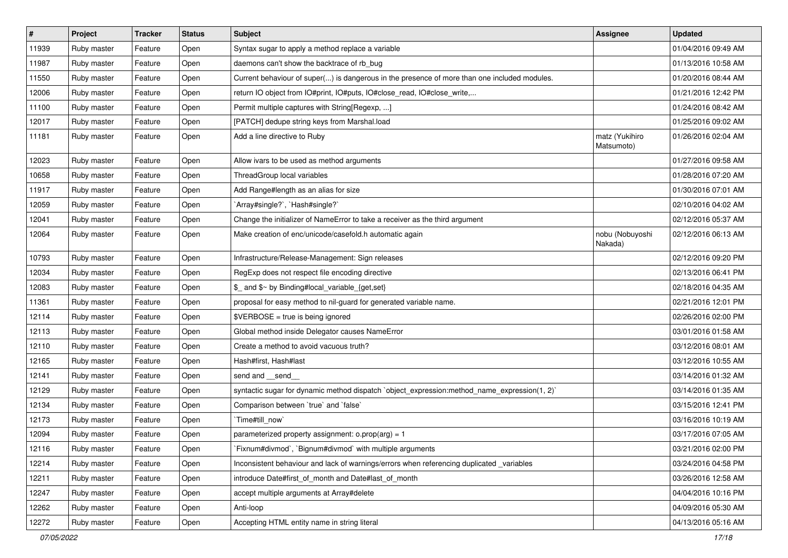| $\vert$ # | Project     | <b>Tracker</b> | <b>Status</b> | <b>Subject</b>                                                                               | <b>Assignee</b>              | <b>Updated</b>      |
|-----------|-------------|----------------|---------------|----------------------------------------------------------------------------------------------|------------------------------|---------------------|
| 11939     | Ruby master | Feature        | Open          | Syntax sugar to apply a method replace a variable                                            |                              | 01/04/2016 09:49 AM |
| 11987     | Ruby master | Feature        | Open          | daemons can't show the backtrace of rb_bug                                                   |                              | 01/13/2016 10:58 AM |
| 11550     | Ruby master | Feature        | Open          | Current behaviour of super() is dangerous in the presence of more than one included modules. |                              | 01/20/2016 08:44 AM |
| 12006     | Ruby master | Feature        | Open          | return IO object from IO#print, IO#puts, IO#close_read, IO#close_write,                      |                              | 01/21/2016 12:42 PM |
| 11100     | Ruby master | Feature        | Open          | Permit multiple captures with String[Regexp, ]                                               |                              | 01/24/2016 08:42 AM |
| 12017     | Ruby master | Feature        | Open          | [PATCH] dedupe string keys from Marshal.load                                                 |                              | 01/25/2016 09:02 AM |
| 11181     | Ruby master | Feature        | Open          | Add a line directive to Ruby                                                                 | matz (Yukihiro<br>Matsumoto) | 01/26/2016 02:04 AM |
| 12023     | Ruby master | Feature        | Open          | Allow ivars to be used as method arguments                                                   |                              | 01/27/2016 09:58 AM |
| 10658     | Ruby master | Feature        | Open          | ThreadGroup local variables                                                                  |                              | 01/28/2016 07:20 AM |
| 11917     | Ruby master | Feature        | Open          | Add Range#length as an alias for size                                                        |                              | 01/30/2016 07:01 AM |
| 12059     | Ruby master | Feature        | Open          | 'Array#single?', 'Hash#single?'                                                              |                              | 02/10/2016 04:02 AM |
| 12041     | Ruby master | Feature        | Open          | Change the initializer of NameError to take a receiver as the third argument                 |                              | 02/12/2016 05:37 AM |
| 12064     | Ruby master | Feature        | Open          | Make creation of enc/unicode/casefold.h automatic again                                      | nobu (Nobuyoshi<br>Nakada)   | 02/12/2016 06:13 AM |
| 10793     | Ruby master | Feature        | Open          | Infrastructure/Release-Management: Sign releases                                             |                              | 02/12/2016 09:20 PM |
| 12034     | Ruby master | Feature        | Open          | RegExp does not respect file encoding directive                                              |                              | 02/13/2016 06:41 PM |
| 12083     | Ruby master | Feature        | Open          | \$_ and \$~ by Binding#local_variable_{get,set}                                              |                              | 02/18/2016 04:35 AM |
| 11361     | Ruby master | Feature        | Open          | proposal for easy method to nil-guard for generated variable name.                           |                              | 02/21/2016 12:01 PM |
| 12114     | Ruby master | Feature        | Open          | \$VERBOSE = true is being ignored                                                            |                              | 02/26/2016 02:00 PM |
| 12113     | Ruby master | Feature        | Open          | Global method inside Delegator causes NameError                                              |                              | 03/01/2016 01:58 AM |
| 12110     | Ruby master | Feature        | Open          | Create a method to avoid vacuous truth?                                                      |                              | 03/12/2016 08:01 AM |
| 12165     | Ruby master | Feature        | Open          | Hash#first, Hash#last                                                                        |                              | 03/12/2016 10:55 AM |
| 12141     | Ruby master | Feature        | Open          | send and send                                                                                |                              | 03/14/2016 01:32 AM |
| 12129     | Ruby master | Feature        | Open          | syntactic sugar for dynamic method dispatch `object_expression:method_name_expression(1, 2)` |                              | 03/14/2016 01:35 AM |
| 12134     | Ruby master | Feature        | Open          | Comparison between 'true' and 'false'                                                        |                              | 03/15/2016 12:41 PM |
| 12173     | Ruby master | Feature        | Open          | Time#till now`                                                                               |                              | 03/16/2016 10:19 AM |
| 12094     | Ruby master | Feature        | Open          | parameterized property assignment: $o.prop(arg) = 1$                                         |                              | 03/17/2016 07:05 AM |
| 12116     | Ruby master | Feature        | Open          | Fixnum#divmod`, `Bignum#divmod` with multiple arguments                                      |                              | 03/21/2016 02:00 PM |
| 12214     | Ruby master | Feature        | Open          | Inconsistent behaviour and lack of warnings/errors when referencing duplicated _variables    |                              | 03/24/2016 04:58 PM |
| 12211     | Ruby master | Feature        | Open          | introduce Date#first of month and Date#last of month                                         |                              | 03/26/2016 12:58 AM |
| 12247     | Ruby master | Feature        | Open          | accept multiple arguments at Array#delete                                                    |                              | 04/04/2016 10:16 PM |
| 12262     | Ruby master | Feature        | Open          | Anti-loop                                                                                    |                              | 04/09/2016 05:30 AM |
| 12272     | Ruby master | Feature        | Open          | Accepting HTML entity name in string literal                                                 |                              | 04/13/2016 05:16 AM |